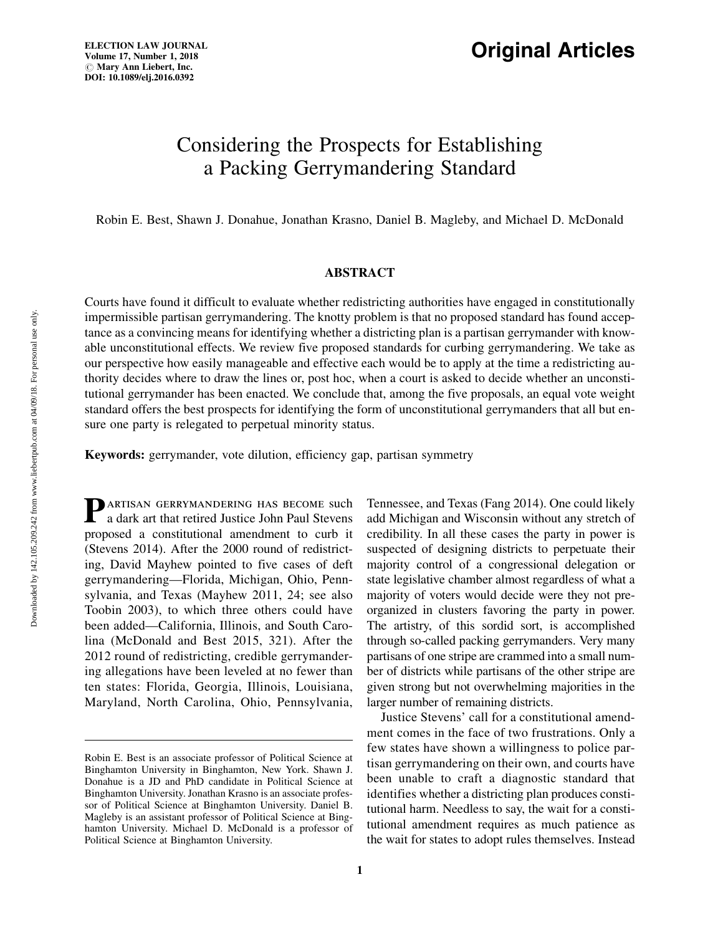# Considering the Prospects for Establishing a Packing Gerrymandering Standard

Robin E. Best, Shawn J. Donahue, Jonathan Krasno, Daniel B. Magleby, and Michael D. McDonald

## ABSTRACT

Courts have found it difficult to evaluate whether redistricting authorities have engaged in constitutionally impermissible partisan gerrymandering. The knotty problem is that no proposed standard has found acceptance as a convincing means for identifying whether a districting plan is a partisan gerrymander with knowable unconstitutional effects. We review five proposed standards for curbing gerrymandering. We take as our perspective how easily manageable and effective each would be to apply at the time a redistricting authority decides where to draw the lines or, post hoc, when a court is asked to decide whether an unconstitutional gerrymander has been enacted. We conclude that, among the five proposals, an equal vote weight standard offers the best prospects for identifying the form of unconstitutional gerrymanders that all but ensure one party is relegated to perpetual minority status.

Keywords: gerrymander, vote dilution, efficiency gap, partisan symmetry

**PARTISAN GERRYMANDERING HAS BECOME such a dark art that retired Institute Iohn Paul Stavano** a dark art that retired Justice John Paul Stevens proposed a constitutional amendment to curb it (Stevens 2014). After the 2000 round of redistricting, David Mayhew pointed to five cases of deft gerrymandering—Florida, Michigan, Ohio, Pennsylvania, and Texas (Mayhew 2011, 24; see also Toobin 2003), to which three others could have been added—California, Illinois, and South Carolina (McDonald and Best 2015, 321). After the 2012 round of redistricting, credible gerrymandering allegations have been leveled at no fewer than ten states: Florida, Georgia, Illinois, Louisiana, Maryland, North Carolina, Ohio, Pennsylvania,

add Michigan and Wisconsin without any stretch of credibility. In all these cases the party in power is suspected of designing districts to perpetuate their majority control of a congressional delegation or state legislative chamber almost regardless of what a majority of voters would decide were they not preorganized in clusters favoring the party in power. The artistry, of this sordid sort, is accomplished through so-called packing gerrymanders. Very many partisans of one stripe are crammed into a small number of districts while partisans of the other stripe are given strong but not overwhelming majorities in the larger number of remaining districts.

Tennessee, and Texas (Fang 2014). One could likely

Justice Stevens' call for a constitutional amendment comes in the face of two frustrations. Only a few states have shown a willingness to police partisan gerrymandering on their own, and courts have been unable to craft a diagnostic standard that identifies whether a districting plan produces constitutional harm. Needless to say, the wait for a constitutional amendment requires as much patience as the wait for states to adopt rules themselves. Instead

Robin E. Best is an associate professor of Political Science at Binghamton University in Binghamton, New York. Shawn J. Donahue is a JD and PhD candidate in Political Science at Binghamton University. Jonathan Krasno is an associate professor of Political Science at Binghamton University. Daniel B. Magleby is an assistant professor of Political Science at Binghamton University. Michael D. McDonald is a professor of Political Science at Binghamton University.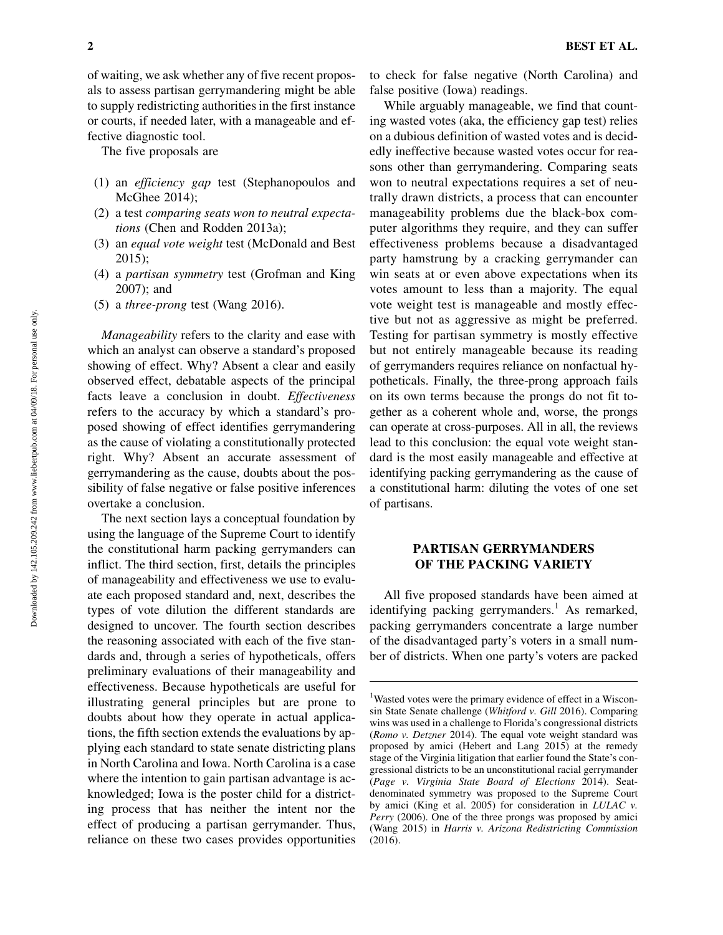of waiting, we ask whether any of five recent proposals to assess partisan gerrymandering might be able to supply redistricting authorities in the first instance or courts, if needed later, with a manageable and effective diagnostic tool.

The five proposals are

- (1) an efficiency gap test (Stephanopoulos and McGhee 2014);
- (2) a test comparing seats won to neutral expectations (Chen and Rodden 2013a);
- (3) an equal vote weight test (McDonald and Best 2015);
- (4) a partisan symmetry test (Grofman and King 2007); and
- (5) a three-prong test (Wang 2016).

Manageability refers to the clarity and ease with which an analyst can observe a standard's proposed showing of effect. Why? Absent a clear and easily observed effect, debatable aspects of the principal facts leave a conclusion in doubt. Effectiveness refers to the accuracy by which a standard's proposed showing of effect identifies gerrymandering as the cause of violating a constitutionally protected right. Why? Absent an accurate assessment of gerrymandering as the cause, doubts about the possibility of false negative or false positive inferences overtake a conclusion.

The next section lays a conceptual foundation by using the language of the Supreme Court to identify the constitutional harm packing gerrymanders can inflict. The third section, first, details the principles of manageability and effectiveness we use to evaluate each proposed standard and, next, describes the types of vote dilution the different standards are designed to uncover. The fourth section describes the reasoning associated with each of the five standards and, through a series of hypotheticals, offers preliminary evaluations of their manageability and effectiveness. Because hypotheticals are useful for illustrating general principles but are prone to doubts about how they operate in actual applications, the fifth section extends the evaluations by applying each standard to state senate districting plans in North Carolina and Iowa. North Carolina is a case where the intention to gain partisan advantage is acknowledged; Iowa is the poster child for a districting process that has neither the intent nor the effect of producing a partisan gerrymander. Thus, reliance on these two cases provides opportunities to check for false negative (North Carolina) and false positive (Iowa) readings.

While arguably manageable, we find that counting wasted votes (aka, the efficiency gap test) relies on a dubious definition of wasted votes and is decidedly ineffective because wasted votes occur for reasons other than gerrymandering. Comparing seats won to neutral expectations requires a set of neutrally drawn districts, a process that can encounter manageability problems due the black-box computer algorithms they require, and they can suffer effectiveness problems because a disadvantaged party hamstrung by a cracking gerrymander can win seats at or even above expectations when its votes amount to less than a majority. The equal vote weight test is manageable and mostly effective but not as aggressive as might be preferred. Testing for partisan symmetry is mostly effective but not entirely manageable because its reading of gerrymanders requires reliance on nonfactual hypotheticals. Finally, the three-prong approach fails on its own terms because the prongs do not fit together as a coherent whole and, worse, the prongs can operate at cross-purposes. All in all, the reviews lead to this conclusion: the equal vote weight standard is the most easily manageable and effective at identifying packing gerrymandering as the cause of a constitutional harm: diluting the votes of one set of partisans.

# PARTISAN GERRYMANDERS OF THE PACKING VARIETY

All five proposed standards have been aimed at identifying packing gerrymanders.<sup>1</sup> As remarked, packing gerrymanders concentrate a large number of the disadvantaged party's voters in a small number of districts. When one party's voters are packed

<sup>&</sup>lt;sup>1</sup>Wasted votes were the primary evidence of effect in a Wisconsin State Senate challenge (Whitford v. Gill 2016). Comparing wins was used in a challenge to Florida's congressional districts (Romo v. Detzner 2014). The equal vote weight standard was proposed by amici (Hebert and Lang 2015) at the remedy stage of the Virginia litigation that earlier found the State's congressional districts to be an unconstitutional racial gerrymander (Page v. Virginia State Board of Elections 2014). Seatdenominated symmetry was proposed to the Supreme Court by amici (King et al. 2005) for consideration in LULAC v. Perry (2006). One of the three prongs was proposed by amici (Wang 2015) in Harris v. Arizona Redistricting Commission (2016).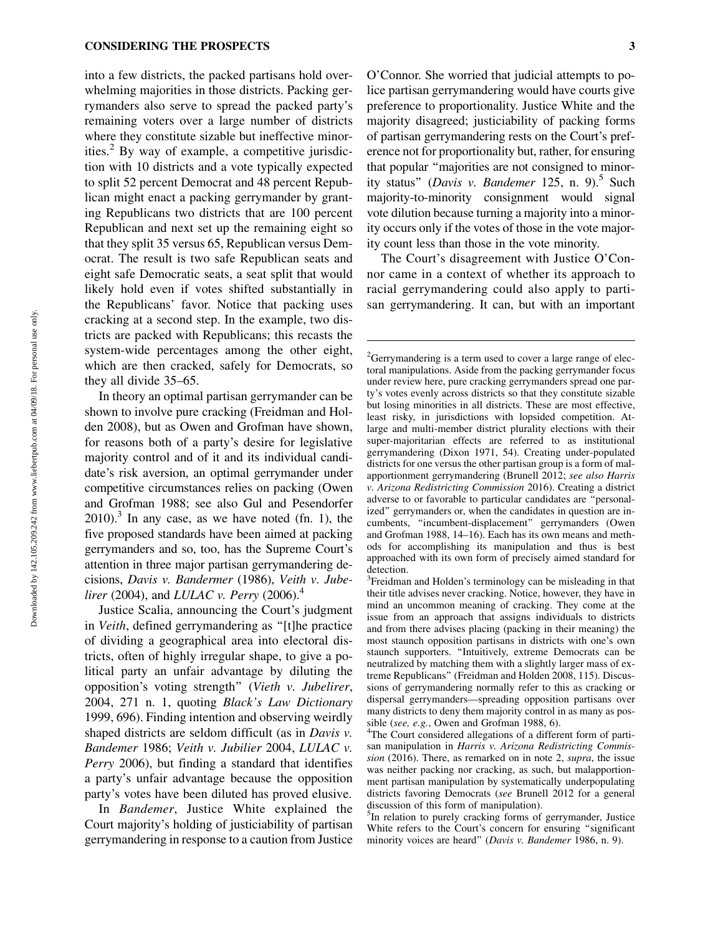into a few districts, the packed partisans hold overwhelming majorities in those districts. Packing gerrymanders also serve to spread the packed party's remaining voters over a large number of districts where they constitute sizable but ineffective minorities. $^{2}$  By way of example, a competitive jurisdiction with 10 districts and a vote typically expected to split 52 percent Democrat and 48 percent Republican might enact a packing gerrymander by granting Republicans two districts that are 100 percent Republican and next set up the remaining eight so that they split 35 versus 65, Republican versus Democrat. The result is two safe Republican seats and eight safe Democratic seats, a seat split that would likely hold even if votes shifted substantially in the Republicans' favor. Notice that packing uses cracking at a second step. In the example, two districts are packed with Republicans; this recasts the system-wide percentages among the other eight, which are then cracked, safely for Democrats, so they all divide 35–65.

In theory an optimal partisan gerrymander can be shown to involve pure cracking (Freidman and Holden 2008), but as Owen and Grofman have shown, for reasons both of a party's desire for legislative majority control and of it and its individual candidate's risk aversion, an optimal gerrymander under competitive circumstances relies on packing (Owen and Grofman 1988; see also Gul and Pesendorfer  $2010$ .<sup>3</sup> In any case, as we have noted (fn. 1), the five proposed standards have been aimed at packing gerrymanders and so, too, has the Supreme Court's attention in three major partisan gerrymandering decisions, Davis v. Bandermer (1986), Veith v. Jubelirer (2004), and LULAC v. Perry (2006).<sup>4</sup>

Justice Scalia, announcing the Court's judgment in Veith, defined gerrymandering as ''[t]he practice of dividing a geographical area into electoral districts, often of highly irregular shape, to give a political party an unfair advantage by diluting the opposition's voting strength'' (Vieth v. Jubelirer, 2004, 271 n. 1, quoting Black's Law Dictionary 1999, 696). Finding intention and observing weirdly shaped districts are seldom difficult (as in *Davis v*. Bandemer 1986; Veith v. Jubilier 2004, LULAC v. Perry 2006), but finding a standard that identifies a party's unfair advantage because the opposition party's votes have been diluted has proved elusive.

In Bandemer, Justice White explained the Court majority's holding of justiciability of partisan gerrymandering in response to a caution from Justice O'Connor. She worried that judicial attempts to police partisan gerrymandering would have courts give preference to proportionality. Justice White and the majority disagreed; justiciability of packing forms of partisan gerrymandering rests on the Court's preference not for proportionality but, rather, for ensuring that popular ''majorities are not consigned to minority status" (Davis v. Bandemer 125, n. 9).<sup>5</sup> Such majority-to-minority consignment would signal vote dilution because turning a majority into a minority occurs only if the votes of those in the vote majority count less than those in the vote minority.

The Court's disagreement with Justice O'Connor came in a context of whether its approach to racial gerrymandering could also apply to partisan gerrymandering. It can, but with an important

<sup>4</sup>The Court considered allegations of a different form of partisan manipulation in Harris v. Arizona Redistricting Commission (2016). There, as remarked on in note 2,  $supra$ , the issue was neither packing nor cracking, as such, but malapportionment partisan manipulation by systematically underpopulating districts favoring Democrats (see Brunell 2012 for a general discussion of this form of manipulation).

<sup>5</sup>In relation to purely cracking forms of gerrymander, Justice White refers to the Court's concern for ensuring ''significant minority voices are heard'' (Davis v. Bandemer 1986, n. 9).

 ${}^{2}$ Gerrymandering is a term used to cover a large range of electoral manipulations. Aside from the packing gerrymander focus under review here, pure cracking gerrymanders spread one party's votes evenly across districts so that they constitute sizable but losing minorities in all districts. These are most effective, least risky, in jurisdictions with lopsided competition. Atlarge and multi-member district plurality elections with their super-majoritarian effects are referred to as institutional gerrymandering (Dixon 1971, 54). Creating under-populated districts for one versus the other partisan group is a form of malapportionment gerrymandering (Brunell 2012; see also Harris v. Arizona Redistricting Commission 2016). Creating a district adverse to or favorable to particular candidates are ''personalized'' gerrymanders or, when the candidates in question are incumbents, ''incumbent-displacement'' gerrymanders (Owen and Grofman 1988, 14–16). Each has its own means and methods for accomplishing its manipulation and thus is best approached with its own form of precisely aimed standard for detection.

<sup>&</sup>lt;sup>3</sup>Freidman and Holden's terminology can be misleading in that their title advises never cracking. Notice, however, they have in mind an uncommon meaning of cracking. They come at the issue from an approach that assigns individuals to districts and from there advises placing (packing in their meaning) the most staunch opposition partisans in districts with one's own staunch supporters. ''Intuitively, extreme Democrats can be neutralized by matching them with a slightly larger mass of extreme Republicans'' (Freidman and Holden 2008, 115). Discussions of gerrymandering normally refer to this as cracking or dispersal gerrymanders—spreading opposition partisans over many districts to deny them majority control in as many as possible (see, e.g., Owen and Grofman 1988, 6).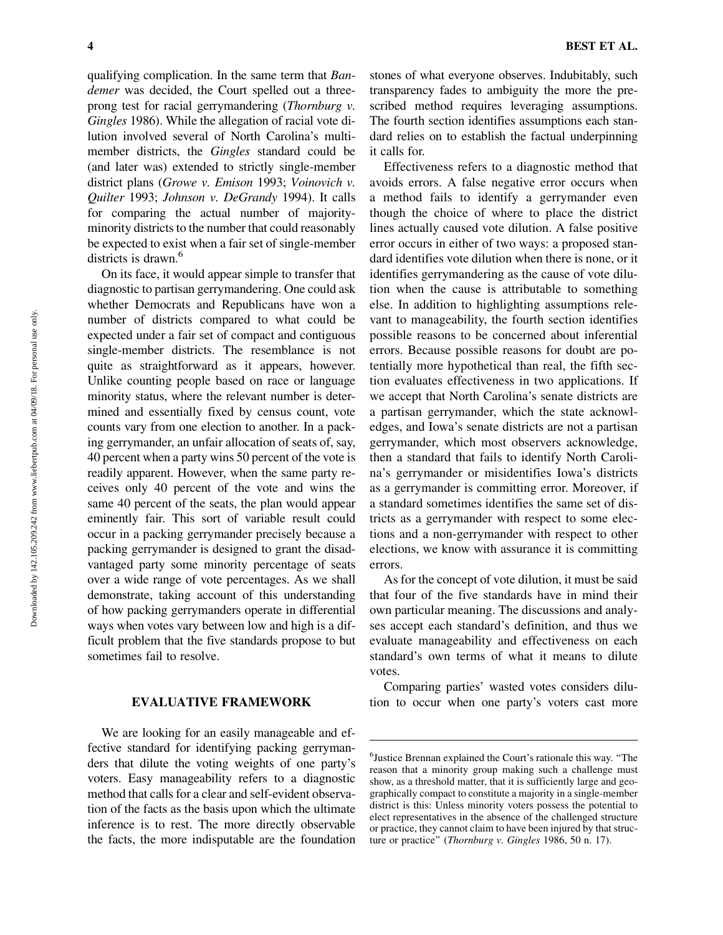qualifying complication. In the same term that Bandemer was decided, the Court spelled out a threeprong test for racial gerrymandering (Thornburg v. Gingles 1986). While the allegation of racial vote dilution involved several of North Carolina's multimember districts, the Gingles standard could be (and later was) extended to strictly single-member district plans (Growe v. Emison 1993; Voinovich v. Quilter 1993; Johnson v. DeGrandy 1994). It calls for comparing the actual number of majorityminority districts to the number that could reasonably be expected to exist when a fair set of single-member districts is drawn.<sup>6</sup>

On its face, it would appear simple to transfer that diagnostic to partisan gerrymandering. One could ask whether Democrats and Republicans have won a number of districts compared to what could be expected under a fair set of compact and contiguous single-member districts. The resemblance is not quite as straightforward as it appears, however. Unlike counting people based on race or language minority status, where the relevant number is determined and essentially fixed by census count, vote counts vary from one election to another. In a packing gerrymander, an unfair allocation of seats of, say, 40 percent when a party wins 50 percent of the vote is readily apparent. However, when the same party receives only 40 percent of the vote and wins the same 40 percent of the seats, the plan would appear eminently fair. This sort of variable result could occur in a packing gerrymander precisely because a packing gerrymander is designed to grant the disadvantaged party some minority percentage of seats over a wide range of vote percentages. As we shall demonstrate, taking account of this understanding of how packing gerrymanders operate in differential ways when votes vary between low and high is a difficult problem that the five standards propose to but sometimes fail to resolve.

## EVALUATIVE FRAMEWORK

We are looking for an easily manageable and effective standard for identifying packing gerrymanders that dilute the voting weights of one party's voters. Easy manageability refers to a diagnostic method that calls for a clear and self-evident observation of the facts as the basis upon which the ultimate inference is to rest. The more directly observable the facts, the more indisputable are the foundation stones of what everyone observes. Indubitably, such transparency fades to ambiguity the more the prescribed method requires leveraging assumptions. The fourth section identifies assumptions each standard relies on to establish the factual underpinning it calls for.

Effectiveness refers to a diagnostic method that avoids errors. A false negative error occurs when a method fails to identify a gerrymander even though the choice of where to place the district lines actually caused vote dilution. A false positive error occurs in either of two ways: a proposed standard identifies vote dilution when there is none, or it identifies gerrymandering as the cause of vote dilution when the cause is attributable to something else. In addition to highlighting assumptions relevant to manageability, the fourth section identifies possible reasons to be concerned about inferential errors. Because possible reasons for doubt are potentially more hypothetical than real, the fifth section evaluates effectiveness in two applications. If we accept that North Carolina's senate districts are a partisan gerrymander, which the state acknowledges, and Iowa's senate districts are not a partisan gerrymander, which most observers acknowledge, then a standard that fails to identify North Carolina's gerrymander or misidentifies Iowa's districts as a gerrymander is committing error. Moreover, if a standard sometimes identifies the same set of districts as a gerrymander with respect to some elections and a non-gerrymander with respect to other elections, we know with assurance it is committing errors.

As for the concept of vote dilution, it must be said that four of the five standards have in mind their own particular meaning. The discussions and analyses accept each standard's definition, and thus we evaluate manageability and effectiveness on each standard's own terms of what it means to dilute votes.

Comparing parties' wasted votes considers dilution to occur when one party's voters cast more

<sup>&</sup>lt;sup>6</sup>Justice Brennan explained the Court's rationale this way. "The reason that a minority group making such a challenge must show, as a threshold matter, that it is sufficiently large and geographically compact to constitute a majority in a single-member district is this: Unless minority voters possess the potential to elect representatives in the absence of the challenged structure or practice, they cannot claim to have been injured by that structure or practice'' (Thornburg v. Gingles 1986, 50 n. 17).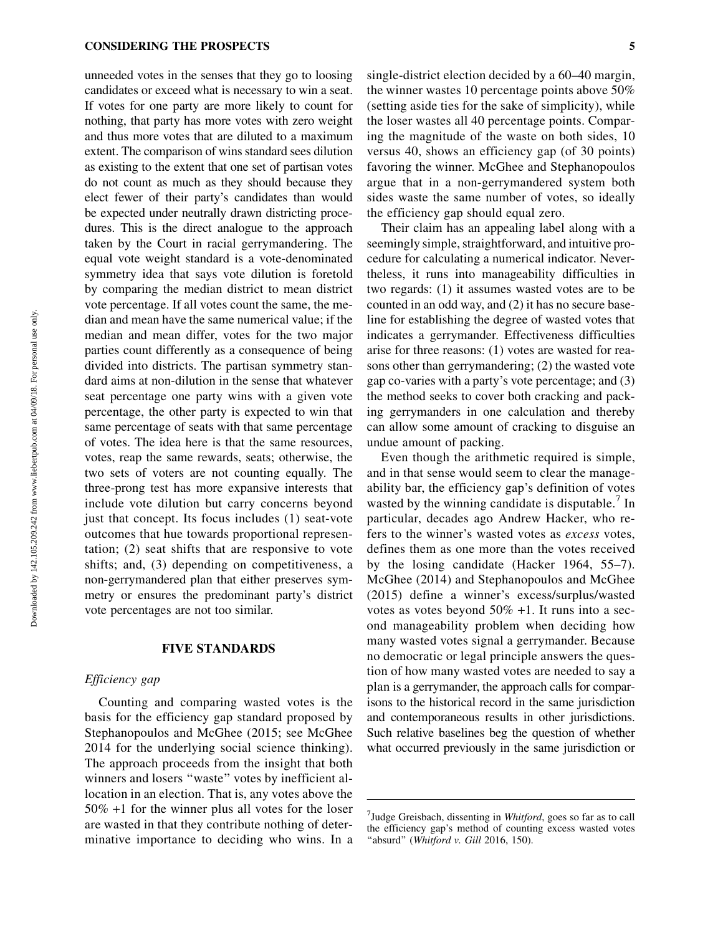#### CONSIDERING THE PROSPECTS 5

unneeded votes in the senses that they go to loosing candidates or exceed what is necessary to win a seat. If votes for one party are more likely to count for nothing, that party has more votes with zero weight and thus more votes that are diluted to a maximum extent. The comparison of wins standard sees dilution as existing to the extent that one set of partisan votes do not count as much as they should because they elect fewer of their party's candidates than would be expected under neutrally drawn districting procedures. This is the direct analogue to the approach taken by the Court in racial gerrymandering. The equal vote weight standard is a vote-denominated symmetry idea that says vote dilution is foretold by comparing the median district to mean district vote percentage. If all votes count the same, the median and mean have the same numerical value; if the median and mean differ, votes for the two major parties count differently as a consequence of being divided into districts. The partisan symmetry standard aims at non-dilution in the sense that whatever seat percentage one party wins with a given vote percentage, the other party is expected to win that same percentage of seats with that same percentage of votes. The idea here is that the same resources, votes, reap the same rewards, seats; otherwise, the two sets of voters are not counting equally. The three-prong test has more expansive interests that include vote dilution but carry concerns beyond just that concept. Its focus includes (1) seat-vote outcomes that hue towards proportional representation; (2) seat shifts that are responsive to vote shifts; and, (3) depending on competitiveness, a non-gerrymandered plan that either preserves symmetry or ensures the predominant party's district vote percentages are not too similar.

## FIVE STANDARDS

#### Efficiency gap

Counting and comparing wasted votes is the basis for the efficiency gap standard proposed by Stephanopoulos and McGhee (2015; see McGhee 2014 for the underlying social science thinking). The approach proceeds from the insight that both winners and losers "waste" votes by inefficient allocation in an election. That is, any votes above the 50% +1 for the winner plus all votes for the loser are wasted in that they contribute nothing of determinative importance to deciding who wins. In a single-district election decided by a 60–40 margin, the winner wastes 10 percentage points above 50% (setting aside ties for the sake of simplicity), while the loser wastes all 40 percentage points. Comparing the magnitude of the waste on both sides, 10 versus 40, shows an efficiency gap (of 30 points) favoring the winner. McGhee and Stephanopoulos argue that in a non-gerrymandered system both sides waste the same number of votes, so ideally the efficiency gap should equal zero.

Their claim has an appealing label along with a seemingly simple, straightforward, and intuitive procedure for calculating a numerical indicator. Nevertheless, it runs into manageability difficulties in two regards: (1) it assumes wasted votes are to be counted in an odd way, and (2) it has no secure baseline for establishing the degree of wasted votes that indicates a gerrymander. Effectiveness difficulties arise for three reasons: (1) votes are wasted for reasons other than gerrymandering; (2) the wasted vote gap co-varies with a party's vote percentage; and (3) the method seeks to cover both cracking and packing gerrymanders in one calculation and thereby can allow some amount of cracking to disguise an undue amount of packing.

Even though the arithmetic required is simple, and in that sense would seem to clear the manageability bar, the efficiency gap's definition of votes wasted by the winning candidate is disputable.<sup>7</sup> In particular, decades ago Andrew Hacker, who refers to the winner's wasted votes as excess votes, defines them as one more than the votes received by the losing candidate (Hacker 1964, 55–7). McGhee (2014) and Stephanopoulos and McGhee (2015) define a winner's excess/surplus/wasted votes as votes beyond 50% +1. It runs into a second manageability problem when deciding how many wasted votes signal a gerrymander. Because no democratic or legal principle answers the question of how many wasted votes are needed to say a plan is a gerrymander, the approach calls for comparisons to the historical record in the same jurisdiction and contemporaneous results in other jurisdictions. Such relative baselines beg the question of whether what occurred previously in the same jurisdiction or

 $7$ Judge Greisbach, dissenting in Whitford, goes so far as to call the efficiency gap's method of counting excess wasted votes "absurd" (Whitford v. Gill 2016, 150).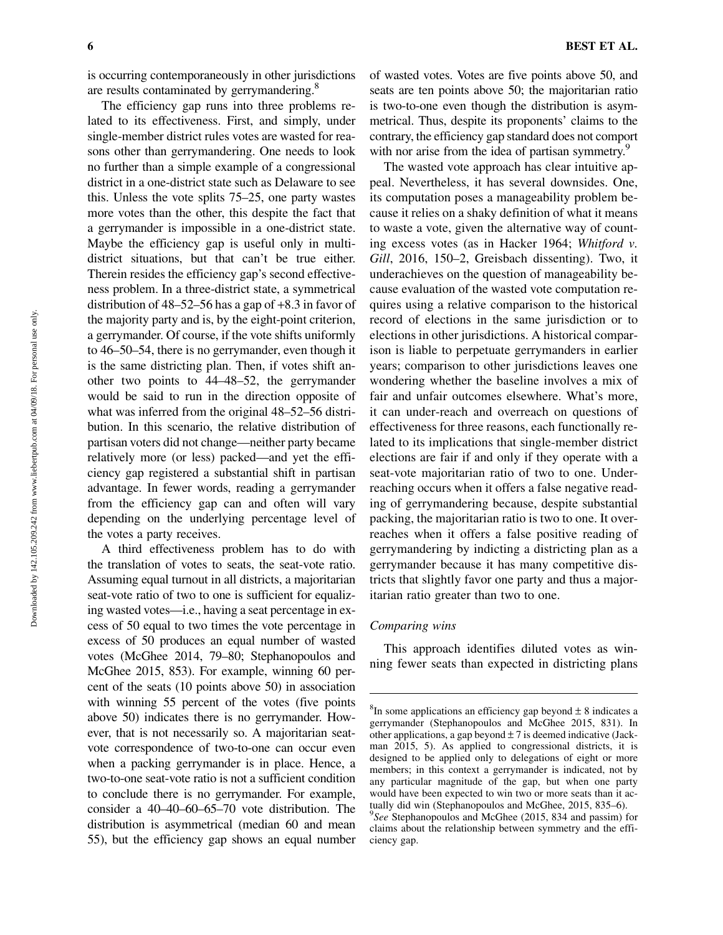is occurring contemporaneously in other jurisdictions are results contaminated by gerrymandering.<sup>8</sup>

The efficiency gap runs into three problems related to its effectiveness. First, and simply, under single-member district rules votes are wasted for reasons other than gerrymandering. One needs to look no further than a simple example of a congressional district in a one-district state such as Delaware to see this. Unless the vote splits 75–25, one party wastes more votes than the other, this despite the fact that a gerrymander is impossible in a one-district state. Maybe the efficiency gap is useful only in multidistrict situations, but that can't be true either. Therein resides the efficiency gap's second effectiveness problem. In a three-district state, a symmetrical distribution of 48–52–56 has a gap of +8.3 in favor of the majority party and is, by the eight-point criterion, a gerrymander. Of course, if the vote shifts uniformly to 46–50–54, there is no gerrymander, even though it is the same districting plan. Then, if votes shift another two points to 44–48–52, the gerrymander would be said to run in the direction opposite of what was inferred from the original 48–52–56 distribution. In this scenario, the relative distribution of partisan voters did not change—neither party became relatively more (or less) packed—and yet the efficiency gap registered a substantial shift in partisan advantage. In fewer words, reading a gerrymander from the efficiency gap can and often will vary depending on the underlying percentage level of the votes a party receives.

A third effectiveness problem has to do with the translation of votes to seats, the seat-vote ratio. Assuming equal turnout in all districts, a majoritarian seat-vote ratio of two to one is sufficient for equalizing wasted votes—i.e., having a seat percentage in excess of 50 equal to two times the vote percentage in excess of 50 produces an equal number of wasted votes (McGhee 2014, 79–80; Stephanopoulos and McGhee 2015, 853). For example, winning 60 percent of the seats (10 points above 50) in association with winning 55 percent of the votes (five points above 50) indicates there is no gerrymander. However, that is not necessarily so. A majoritarian seatvote correspondence of two-to-one can occur even when a packing gerrymander is in place. Hence, a two-to-one seat-vote ratio is not a sufficient condition to conclude there is no gerrymander. For example, consider a 40–40–60–65–70 vote distribution. The distribution is asymmetrical (median 60 and mean 55), but the efficiency gap shows an equal number of wasted votes. Votes are five points above 50, and seats are ten points above 50; the majoritarian ratio is two-to-one even though the distribution is asymmetrical. Thus, despite its proponents' claims to the contrary, the efficiency gap standard does not comport with nor arise from the idea of partisan symmetry.<sup>9</sup>

The wasted vote approach has clear intuitive appeal. Nevertheless, it has several downsides. One, its computation poses a manageability problem because it relies on a shaky definition of what it means to waste a vote, given the alternative way of counting excess votes (as in Hacker 1964; Whitford v. Gill, 2016, 150–2, Greisbach dissenting). Two, it underachieves on the question of manageability because evaluation of the wasted vote computation requires using a relative comparison to the historical record of elections in the same jurisdiction or to elections in other jurisdictions. A historical comparison is liable to perpetuate gerrymanders in earlier years; comparison to other jurisdictions leaves one wondering whether the baseline involves a mix of fair and unfair outcomes elsewhere. What's more, it can under-reach and overreach on questions of effectiveness for three reasons, each functionally related to its implications that single-member district elections are fair if and only if they operate with a seat-vote majoritarian ratio of two to one. Underreaching occurs when it offers a false negative reading of gerrymandering because, despite substantial packing, the majoritarian ratio is two to one. It overreaches when it offers a false positive reading of gerrymandering by indicting a districting plan as a gerrymander because it has many competitive districts that slightly favor one party and thus a majoritarian ratio greater than two to one.

#### Comparing wins

This approach identifies diluted votes as winning fewer seats than expected in districting plans

 ${}^{8}$ In some applications an efficiency gap beyond  $\pm 8$  indicates a gerrymander (Stephanopoulos and McGhee 2015, 831). In other applications, a gap beyond  $\pm$  7 is deemed indicative (Jackman 2015, 5). As applied to congressional districts, it is designed to be applied only to delegations of eight or more members; in this context a gerrymander is indicated, not by any particular magnitude of the gap, but when one party would have been expected to win two or more seats than it actually did win (Stephanopoulos and McGhee, 2015, 835–6).

<sup>&</sup>lt;sup>9</sup>See Stephanopoulos and McGhee (2015, 834 and passim) for claims about the relationship between symmetry and the efficiency gap.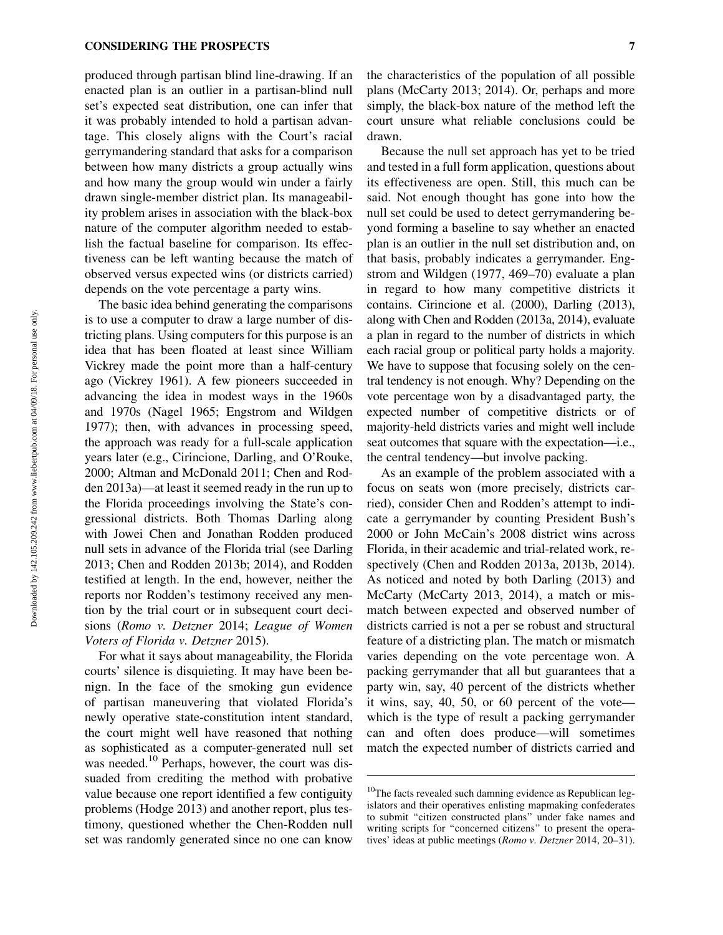### CONSIDERING THE PROSPECTS 7

produced through partisan blind line-drawing. If an enacted plan is an outlier in a partisan-blind null set's expected seat distribution, one can infer that it was probably intended to hold a partisan advantage. This closely aligns with the Court's racial gerrymandering standard that asks for a comparison between how many districts a group actually wins and how many the group would win under a fairly drawn single-member district plan. Its manageability problem arises in association with the black-box nature of the computer algorithm needed to establish the factual baseline for comparison. Its effectiveness can be left wanting because the match of observed versus expected wins (or districts carried) depends on the vote percentage a party wins.

The basic idea behind generating the comparisons is to use a computer to draw a large number of districting plans. Using computers for this purpose is an idea that has been floated at least since William Vickrey made the point more than a half-century ago (Vickrey 1961). A few pioneers succeeded in advancing the idea in modest ways in the 1960s and 1970s (Nagel 1965; Engstrom and Wildgen 1977); then, with advances in processing speed, the approach was ready for a full-scale application years later (e.g., Cirincione, Darling, and O'Rouke, 2000; Altman and McDonald 2011; Chen and Rodden 2013a)—at least it seemed ready in the run up to the Florida proceedings involving the State's congressional districts. Both Thomas Darling along with Jowei Chen and Jonathan Rodden produced null sets in advance of the Florida trial (see Darling 2013; Chen and Rodden 2013b; 2014), and Rodden testified at length. In the end, however, neither the reports nor Rodden's testimony received any mention by the trial court or in subsequent court decisions (Romo v. Detzner 2014; League of Women Voters of Florida v. Detzner 2015).

For what it says about manageability, the Florida courts' silence is disquieting. It may have been benign. In the face of the smoking gun evidence of partisan maneuvering that violated Florida's newly operative state-constitution intent standard, the court might well have reasoned that nothing as sophisticated as a computer-generated null set was needed.<sup>10</sup> Perhaps, however, the court was dissuaded from crediting the method with probative value because one report identified a few contiguity problems (Hodge 2013) and another report, plus testimony, questioned whether the Chen-Rodden null set was randomly generated since no one can know the characteristics of the population of all possible plans (McCarty 2013; 2014). Or, perhaps and more simply, the black-box nature of the method left the court unsure what reliable conclusions could be drawn.

Because the null set approach has yet to be tried and tested in a full form application, questions about its effectiveness are open. Still, this much can be said. Not enough thought has gone into how the null set could be used to detect gerrymandering beyond forming a baseline to say whether an enacted plan is an outlier in the null set distribution and, on that basis, probably indicates a gerrymander. Engstrom and Wildgen (1977, 469–70) evaluate a plan in regard to how many competitive districts it contains. Cirincione et al. (2000), Darling (2013), along with Chen and Rodden (2013a, 2014), evaluate a plan in regard to the number of districts in which each racial group or political party holds a majority. We have to suppose that focusing solely on the central tendency is not enough. Why? Depending on the vote percentage won by a disadvantaged party, the expected number of competitive districts or of majority-held districts varies and might well include seat outcomes that square with the expectation—i.e., the central tendency—but involve packing.

As an example of the problem associated with a focus on seats won (more precisely, districts carried), consider Chen and Rodden's attempt to indicate a gerrymander by counting President Bush's 2000 or John McCain's 2008 district wins across Florida, in their academic and trial-related work, respectively (Chen and Rodden 2013a, 2013b, 2014). As noticed and noted by both Darling (2013) and McCarty (McCarty 2013, 2014), a match or mismatch between expected and observed number of districts carried is not a per se robust and structural feature of a districting plan. The match or mismatch varies depending on the vote percentage won. A packing gerrymander that all but guarantees that a party win, say, 40 percent of the districts whether it wins, say, 40, 50, or 60 percent of the vote which is the type of result a packing gerrymander can and often does produce—will sometimes match the expected number of districts carried and

<sup>&</sup>lt;sup>10</sup>The facts revealed such damning evidence as Republican legislators and their operatives enlisting mapmaking confederates to submit ''citizen constructed plans'' under fake names and writing scripts for "concerned citizens" to present the operatives' ideas at public meetings (Romo v. Detzner 2014, 20–31).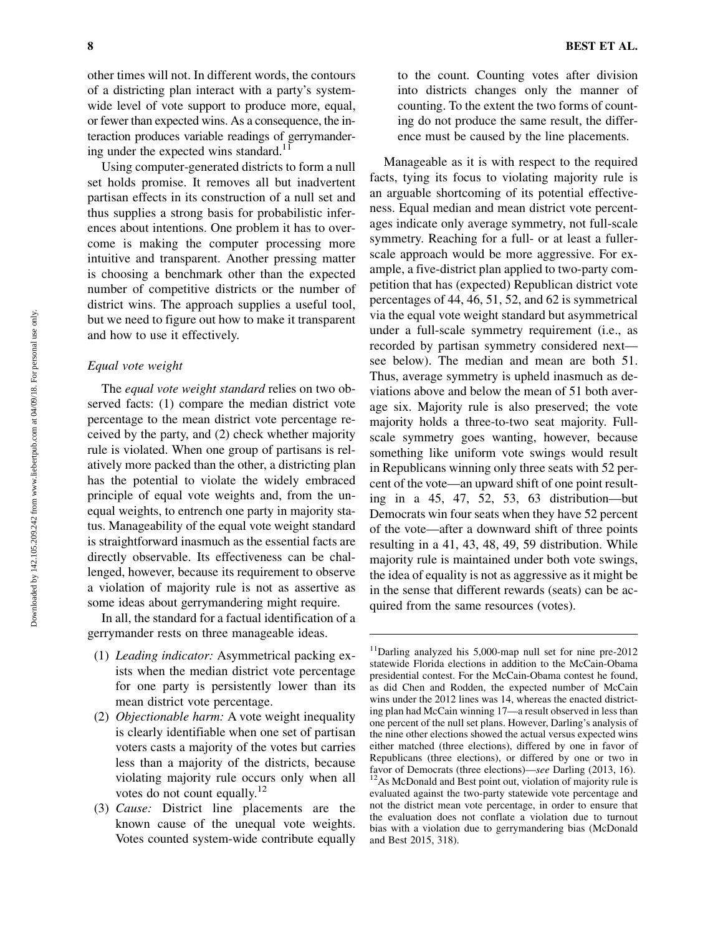other times will not. In different words, the contours of a districting plan interact with a party's systemwide level of vote support to produce more, equal, or fewer than expected wins. As a consequence, the interaction produces variable readings of gerrymandering under the expected wins standard.<sup>11</sup>

Using computer-generated districts to form a null set holds promise. It removes all but inadvertent partisan effects in its construction of a null set and thus supplies a strong basis for probabilistic inferences about intentions. One problem it has to overcome is making the computer processing more intuitive and transparent. Another pressing matter is choosing a benchmark other than the expected number of competitive districts or the number of district wins. The approach supplies a useful tool, but we need to figure out how to make it transparent and how to use it effectively.

### Equal vote weight

The equal vote weight standard relies on two observed facts: (1) compare the median district vote percentage to the mean district vote percentage received by the party, and (2) check whether majority rule is violated. When one group of partisans is relatively more packed than the other, a districting plan has the potential to violate the widely embraced principle of equal vote weights and, from the unequal weights, to entrench one party in majority status. Manageability of the equal vote weight standard is straightforward inasmuch as the essential facts are directly observable. Its effectiveness can be challenged, however, because its requirement to observe a violation of majority rule is not as assertive as some ideas about gerrymandering might require.

In all, the standard for a factual identification of a gerrymander rests on three manageable ideas.

- (1) Leading indicator: Asymmetrical packing exists when the median district vote percentage for one party is persistently lower than its mean district vote percentage.
- (2) Objectionable harm: A vote weight inequality is clearly identifiable when one set of partisan voters casts a majority of the votes but carries less than a majority of the districts, because violating majority rule occurs only when all votes do not count equally.<sup>12</sup>
- (3) Cause: District line placements are the known cause of the unequal vote weights. Votes counted system-wide contribute equally

to the count. Counting votes after division into districts changes only the manner of counting. To the extent the two forms of counting do not produce the same result, the difference must be caused by the line placements.

Manageable as it is with respect to the required facts, tying its focus to violating majority rule is an arguable shortcoming of its potential effectiveness. Equal median and mean district vote percentages indicate only average symmetry, not full-scale symmetry. Reaching for a full- or at least a fullerscale approach would be more aggressive. For example, a five-district plan applied to two-party competition that has (expected) Republican district vote percentages of 44, 46, 51, 52, and 62 is symmetrical via the equal vote weight standard but asymmetrical under a full-scale symmetry requirement (i.e., as recorded by partisan symmetry considered next see below). The median and mean are both 51. Thus, average symmetry is upheld inasmuch as deviations above and below the mean of 51 both average six. Majority rule is also preserved; the vote majority holds a three-to-two seat majority. Fullscale symmetry goes wanting, however, because something like uniform vote swings would result in Republicans winning only three seats with 52 percent of the vote—an upward shift of one point resulting in a 45, 47, 52, 53, 63 distribution—but Democrats win four seats when they have 52 percent of the vote—after a downward shift of three points resulting in a 41, 43, 48, 49, 59 distribution. While majority rule is maintained under both vote swings, the idea of equality is not as aggressive as it might be in the sense that different rewards (seats) can be acquired from the same resources (votes).

<sup>&</sup>lt;sup>11</sup>Darling analyzed his 5,000-map null set for nine pre-2012 statewide Florida elections in addition to the McCain-Obama presidential contest. For the McCain-Obama contest he found, as did Chen and Rodden, the expected number of McCain wins under the 2012 lines was 14, whereas the enacted districting plan had McCain winning 17—a result observed in less than one percent of the null set plans. However, Darling's analysis of the nine other elections showed the actual versus expected wins either matched (three elections), differed by one in favor of Republicans (three elections), or differed by one or two in favor of Democrats (three elections)—see Darling (2013, 16). <sup>12</sup>As McDonald and Best point out, violation of majority rule is evaluated against the two-party statewide vote percentage and

not the district mean vote percentage, in order to ensure that the evaluation does not conflate a violation due to turnout bias with a violation due to gerrymandering bias (McDonald and Best 2015, 318).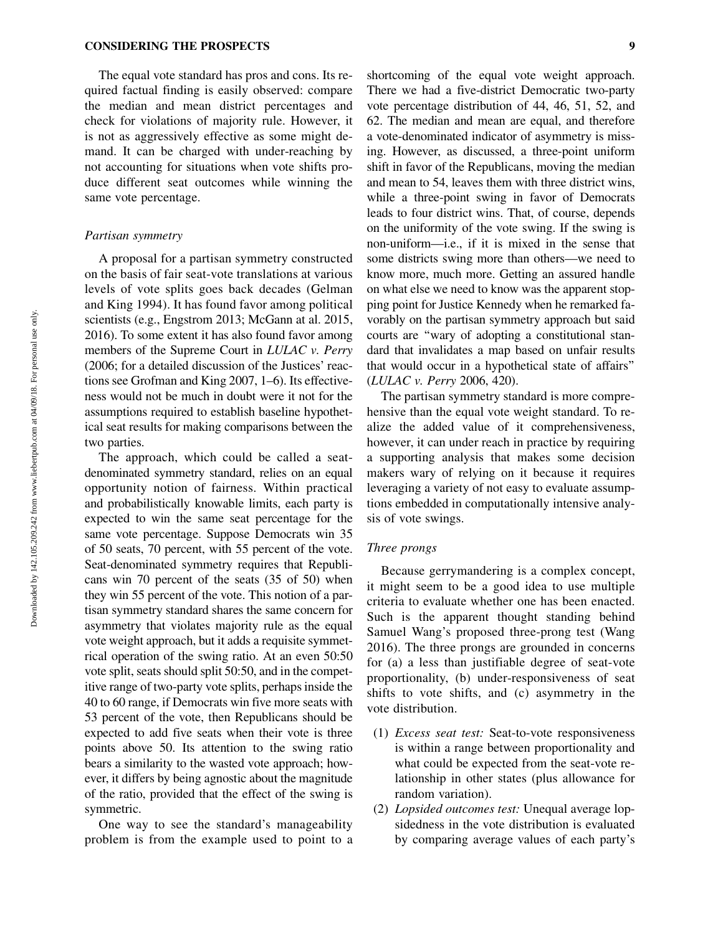The equal vote standard has pros and cons. Its required factual finding is easily observed: compare the median and mean district percentages and check for violations of majority rule. However, it is not as aggressively effective as some might demand. It can be charged with under-reaching by not accounting for situations when vote shifts produce different seat outcomes while winning the same vote percentage.

#### Partisan symmetry

A proposal for a partisan symmetry constructed on the basis of fair seat-vote translations at various levels of vote splits goes back decades (Gelman and King 1994). It has found favor among political scientists (e.g., Engstrom 2013; McGann at al. 2015, 2016). To some extent it has also found favor among members of the Supreme Court in LULAC v. Perry (2006; for a detailed discussion of the Justices' reactions see Grofman and King 2007, 1–6). Its effectiveness would not be much in doubt were it not for the assumptions required to establish baseline hypothetical seat results for making comparisons between the two parties.

The approach, which could be called a seatdenominated symmetry standard, relies on an equal opportunity notion of fairness. Within practical and probabilistically knowable limits, each party is expected to win the same seat percentage for the same vote percentage. Suppose Democrats win 35 of 50 seats, 70 percent, with 55 percent of the vote. Seat-denominated symmetry requires that Republicans win 70 percent of the seats (35 of 50) when they win 55 percent of the vote. This notion of a partisan symmetry standard shares the same concern for asymmetry that violates majority rule as the equal vote weight approach, but it adds a requisite symmetrical operation of the swing ratio. At an even 50:50 vote split, seats should split 50:50, and in the competitive range of two-party vote splits, perhaps inside the 40 to 60 range, if Democrats win five more seats with 53 percent of the vote, then Republicans should be expected to add five seats when their vote is three points above 50. Its attention to the swing ratio bears a similarity to the wasted vote approach; however, it differs by being agnostic about the magnitude of the ratio, provided that the effect of the swing is symmetric.

One way to see the standard's manageability problem is from the example used to point to a shortcoming of the equal vote weight approach. There we had a five-district Democratic two-party vote percentage distribution of 44, 46, 51, 52, and 62. The median and mean are equal, and therefore a vote-denominated indicator of asymmetry is missing. However, as discussed, a three-point uniform shift in favor of the Republicans, moving the median and mean to 54, leaves them with three district wins, while a three-point swing in favor of Democrats leads to four district wins. That, of course, depends on the uniformity of the vote swing. If the swing is non-uniform—i.e., if it is mixed in the sense that some districts swing more than others—we need to know more, much more. Getting an assured handle on what else we need to know was the apparent stopping point for Justice Kennedy when he remarked favorably on the partisan symmetry approach but said courts are ''wary of adopting a constitutional standard that invalidates a map based on unfair results that would occur in a hypothetical state of affairs'' (LULAC v. Perry 2006, 420).

The partisan symmetry standard is more comprehensive than the equal vote weight standard. To realize the added value of it comprehensiveness, however, it can under reach in practice by requiring a supporting analysis that makes some decision makers wary of relying on it because it requires leveraging a variety of not easy to evaluate assumptions embedded in computationally intensive analysis of vote swings.

#### Three prongs

Because gerrymandering is a complex concept, it might seem to be a good idea to use multiple criteria to evaluate whether one has been enacted. Such is the apparent thought standing behind Samuel Wang's proposed three-prong test (Wang 2016). The three prongs are grounded in concerns for (a) a less than justifiable degree of seat-vote proportionality, (b) under-responsiveness of seat shifts to vote shifts, and (c) asymmetry in the vote distribution.

- (1) Excess seat test: Seat-to-vote responsiveness is within a range between proportionality and what could be expected from the seat-vote relationship in other states (plus allowance for random variation).
- (2) Lopsided outcomes test: Unequal average lopsidedness in the vote distribution is evaluated by comparing average values of each party's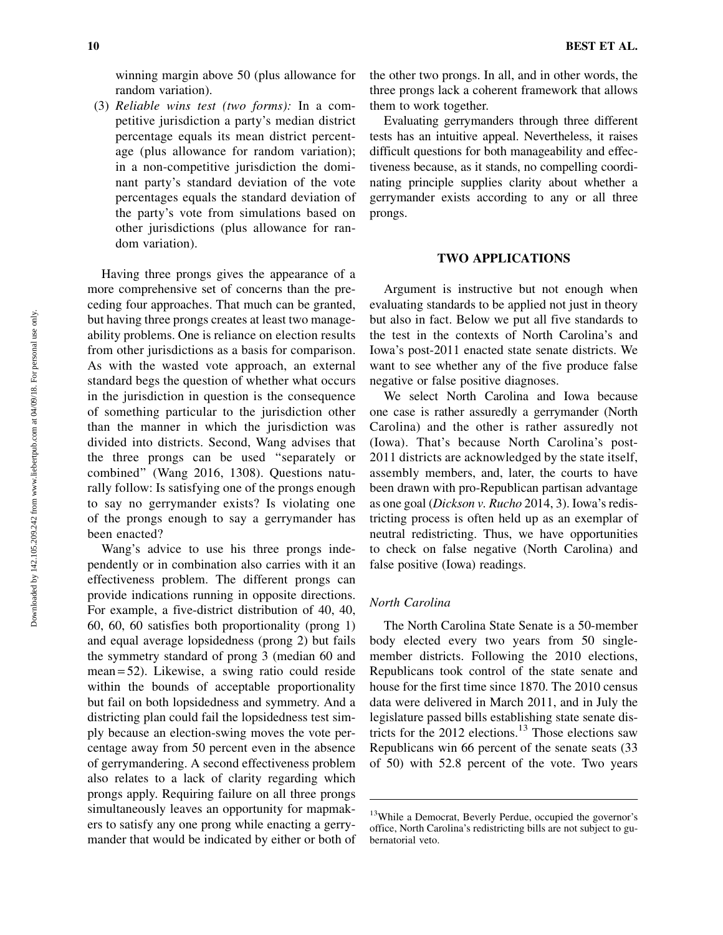winning margin above 50 (plus allowance for random variation).

(3) Reliable wins test (two forms): In a competitive jurisdiction a party's median district percentage equals its mean district percentage (plus allowance for random variation); in a non-competitive jurisdiction the dominant party's standard deviation of the vote percentages equals the standard deviation of the party's vote from simulations based on other jurisdictions (plus allowance for random variation).

Having three prongs gives the appearance of a more comprehensive set of concerns than the preceding four approaches. That much can be granted, but having three prongs creates at least two manageability problems. One is reliance on election results from other jurisdictions as a basis for comparison. As with the wasted vote approach, an external standard begs the question of whether what occurs in the jurisdiction in question is the consequence of something particular to the jurisdiction other than the manner in which the jurisdiction was divided into districts. Second, Wang advises that the three prongs can be used ''separately or combined'' (Wang 2016, 1308). Questions naturally follow: Is satisfying one of the prongs enough to say no gerrymander exists? Is violating one of the prongs enough to say a gerrymander has been enacted?

Wang's advice to use his three prongs independently or in combination also carries with it an effectiveness problem. The different prongs can provide indications running in opposite directions. For example, a five-district distribution of 40, 40, 60, 60, 60 satisfies both proportionality (prong 1) and equal average lopsidedness (prong 2) but fails the symmetry standard of prong 3 (median 60 and mean = 52). Likewise, a swing ratio could reside within the bounds of acceptable proportionality but fail on both lopsidedness and symmetry. And a districting plan could fail the lopsidedness test simply because an election-swing moves the vote percentage away from 50 percent even in the absence of gerrymandering. A second effectiveness problem also relates to a lack of clarity regarding which prongs apply. Requiring failure on all three prongs simultaneously leaves an opportunity for mapmakers to satisfy any one prong while enacting a gerrymander that would be indicated by either or both of the other two prongs. In all, and in other words, the three prongs lack a coherent framework that allows them to work together.

Evaluating gerrymanders through three different tests has an intuitive appeal. Nevertheless, it raises difficult questions for both manageability and effectiveness because, as it stands, no compelling coordinating principle supplies clarity about whether a gerrymander exists according to any or all three prongs.

## TWO APPLICATIONS

Argument is instructive but not enough when evaluating standards to be applied not just in theory but also in fact. Below we put all five standards to the test in the contexts of North Carolina's and Iowa's post-2011 enacted state senate districts. We want to see whether any of the five produce false negative or false positive diagnoses.

We select North Carolina and Iowa because one case is rather assuredly a gerrymander (North Carolina) and the other is rather assuredly not (Iowa). That's because North Carolina's post-2011 districts are acknowledged by the state itself, assembly members, and, later, the courts to have been drawn with pro-Republican partisan advantage as one goal (Dickson v. Rucho 2014, 3). Iowa's redistricting process is often held up as an exemplar of neutral redistricting. Thus, we have opportunities to check on false negative (North Carolina) and false positive (Iowa) readings.

## North Carolina

The North Carolina State Senate is a 50-member body elected every two years from 50 singlemember districts. Following the 2010 elections, Republicans took control of the state senate and house for the first time since 1870. The 2010 census data were delivered in March 2011, and in July the legislature passed bills establishing state senate districts for the  $2012$  elections.<sup>13</sup> Those elections saw Republicans win 66 percent of the senate seats (33 of 50) with 52.8 percent of the vote. Two years

<sup>&</sup>lt;sup>13</sup>While a Democrat, Beverly Perdue, occupied the governor's office, North Carolina's redistricting bills are not subject to gubernatorial veto.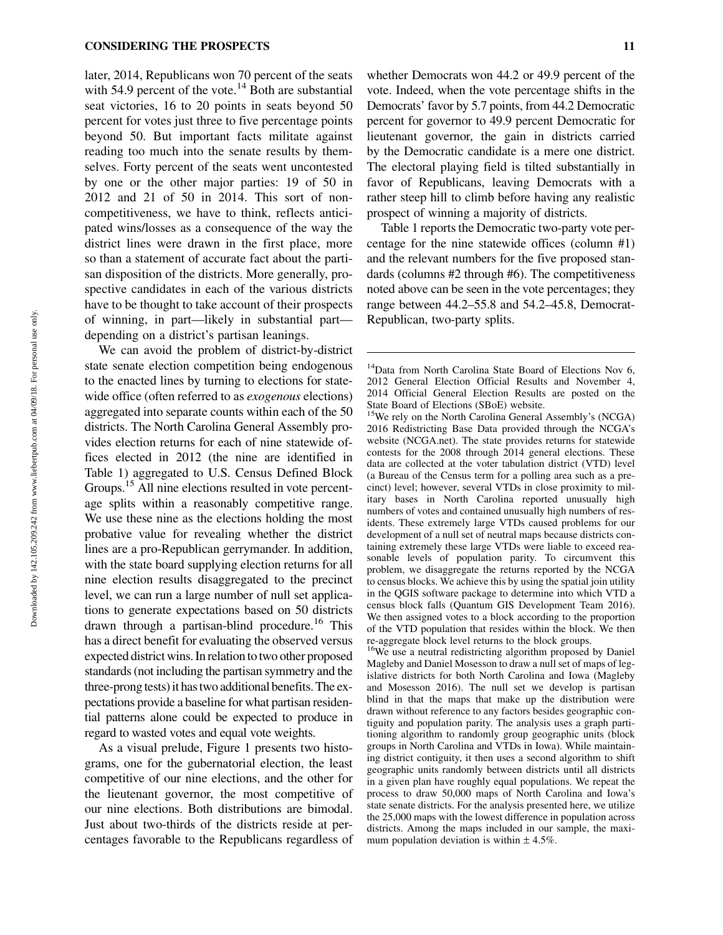later, 2014, Republicans won 70 percent of the seats with 54.9 percent of the vote.<sup>14</sup> Both are substantial seat victories, 16 to 20 points in seats beyond 50 percent for votes just three to five percentage points beyond 50. But important facts militate against reading too much into the senate results by themselves. Forty percent of the seats went uncontested by one or the other major parties: 19 of 50 in 2012 and 21 of 50 in 2014. This sort of noncompetitiveness, we have to think, reflects anticipated wins/losses as a consequence of the way the district lines were drawn in the first place, more so than a statement of accurate fact about the partisan disposition of the districts. More generally, prospective candidates in each of the various districts have to be thought to take account of their prospects of winning, in part—likely in substantial part depending on a district's partisan leanings.

We can avoid the problem of district-by-district state senate election competition being endogenous to the enacted lines by turning to elections for statewide office (often referred to as *exogenous* elections) aggregated into separate counts within each of the 50 districts. The North Carolina General Assembly provides election returns for each of nine statewide offices elected in 2012 (the nine are identified in Table 1) aggregated to U.S. Census Defined Block Groups.<sup>15</sup> All nine elections resulted in vote percentage splits within a reasonably competitive range. We use these nine as the elections holding the most probative value for revealing whether the district lines are a pro-Republican gerrymander. In addition, with the state board supplying election returns for all nine election results disaggregated to the precinct level, we can run a large number of null set applications to generate expectations based on 50 districts drawn through a partisan-blind procedure.<sup>16</sup> This has a direct benefit for evaluating the observed versus expected district wins. In relation to two other proposed standards (not including the partisan symmetry and the three-prong tests) it has two additional benefits. The expectations provide a baseline for what partisan residential patterns alone could be expected to produce in regard to wasted votes and equal vote weights.

As a visual prelude, Figure 1 presents two histograms, one for the gubernatorial election, the least competitive of our nine elections, and the other for the lieutenant governor, the most competitive of our nine elections. Both distributions are bimodal. Just about two-thirds of the districts reside at percentages favorable to the Republicans regardless of

whether Democrats won 44.2 or 49.9 percent of the vote. Indeed, when the vote percentage shifts in the Democrats' favor by 5.7 points, from 44.2 Democratic percent for governor to 49.9 percent Democratic for lieutenant governor, the gain in districts carried by the Democratic candidate is a mere one district. The electoral playing field is tilted substantially in favor of Republicans, leaving Democrats with a rather steep hill to climb before having any realistic prospect of winning a majority of districts.

Table 1 reports the Democratic two-party vote percentage for the nine statewide offices (column #1) and the relevant numbers for the five proposed standards (columns #2 through #6). The competitiveness noted above can be seen in the vote percentages; they range between 44.2–55.8 and 54.2–45.8, Democrat-Republican, two-party splits.

<sup>16</sup>We use a neutral redistricting algorithm proposed by Daniel Magleby and Daniel Mosesson to draw a null set of maps of legislative districts for both North Carolina and Iowa (Magleby and Mosesson 2016). The null set we develop is partisan blind in that the maps that make up the distribution were drawn without reference to any factors besides geographic contiguity and population parity. The analysis uses a graph partitioning algorithm to randomly group geographic units (block groups in North Carolina and VTDs in Iowa). While maintaining district contiguity, it then uses a second algorithm to shift geographic units randomly between districts until all districts in a given plan have roughly equal populations. We repeat the process to draw 50,000 maps of North Carolina and Iowa's state senate districts. For the analysis presented here, we utilize the 25,000 maps with the lowest difference in population across districts. Among the maps included in our sample, the maximum population deviation is within  $\pm 4.5\%$ .

<sup>&</sup>lt;sup>14</sup>Data from North Carolina State Board of Elections Nov 6, 2012 General Election Official Results and November 4, 2014 Official General Election Results are posted on the State Board of Elections (SBoE) website.

<sup>&</sup>lt;sup>15</sup>We rely on the North Carolina General Assembly's (NCGA) 2016 Redistricting Base Data provided through the NCGA's website (NCGA.net). The state provides returns for statewide contests for the 2008 through 2014 general elections. These data are collected at the voter tabulation district (VTD) level (a Bureau of the Census term for a polling area such as a precinct) level; however, several VTDs in close proximity to military bases in North Carolina reported unusually high numbers of votes and contained unusually high numbers of residents. These extremely large VTDs caused problems for our development of a null set of neutral maps because districts containing extremely these large VTDs were liable to exceed reasonable levels of population parity. To circumvent this problem, we disaggregate the returns reported by the NCGA to census blocks. We achieve this by using the spatial join utility in the QGIS software package to determine into which VTD a census block falls (Quantum GIS Development Team 2016). We then assigned votes to a block according to the proportion of the VTD population that resides within the block. We then re-aggregate block level returns to the block groups.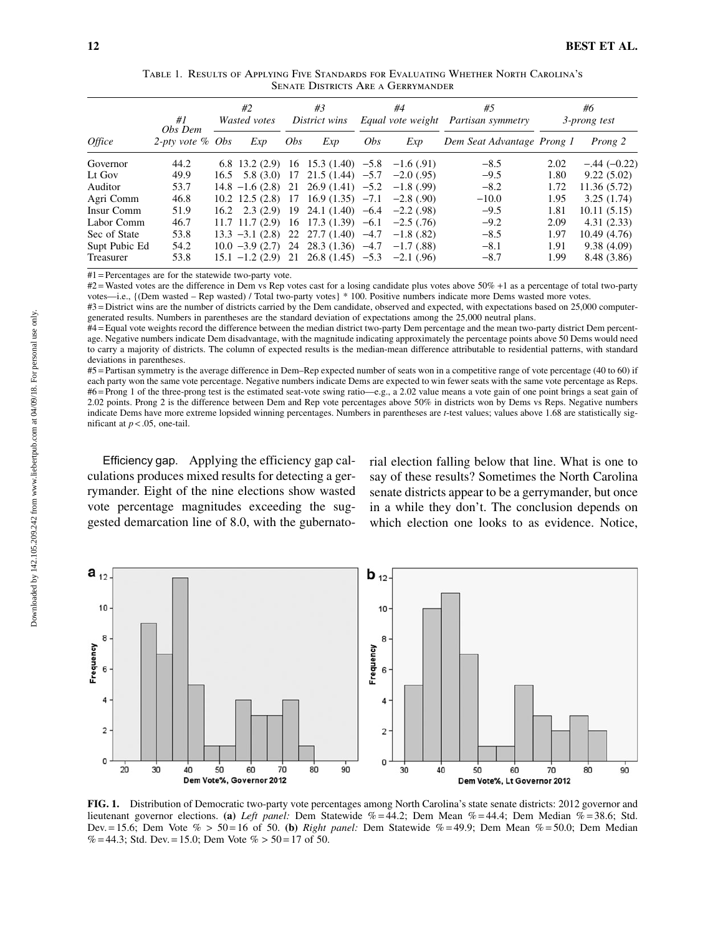|               | #1<br>Obs Dem      | #2<br>Wasted votes |                        | #3<br>District wins |                                       |            | #4           | #5<br>Equal vote weight Partisan symmetry | #6<br>3-prong test |                |  |
|---------------|--------------------|--------------------|------------------------|---------------------|---------------------------------------|------------|--------------|-------------------------------------------|--------------------|----------------|--|
| <i>Office</i> | 2-pty vote $%$ Obs |                    | Exp                    | <i>Obs</i>          | Exp                                   | <i>Obs</i> | Exp          | Dem Seat Advantage Prong 1                |                    | Prong 2        |  |
| Governor      | 44.2               |                    |                        |                     | 6.8 13.2 (2.9) 16 15.3 (1.40) $-5.8$  |            | $-1.6(0.91)$ | $-8.5$                                    | 2.02               | $-.44 (-0.22)$ |  |
| Lt Gov        | 49.9               | 16.5               | $5.8(3.0)$ 17          |                     | $21.5(1.44) -5.7$                     |            | $-2.0$ (.95) | $-9.5$                                    | 1.80               | 9.22(5.02)     |  |
| Auditor       | 53.7               |                    | $14.8 - 1.6(2.8)$ 21   |                     | $26.9(1.41) -5.2$                     |            | $-1.8(0.99)$ | $-8.2$                                    | 1.72               | 11.36(5.72)    |  |
| Agri Comm     | 46.8               |                    | $10.2$ 12.5 $(2.8)$ 17 |                     | $16.9(1.35) -7.1$                     |            | $-2.8$ (.90) | $-10.0$                                   | 1.95               | 3.25(1.74)     |  |
| Insur Comm    | 51.9               |                    | $16.2$ $2.3(2.9)$ 19   |                     | $24.1(1.40) -6.4$                     |            | $-2.2$ (.98) | $-9.5$                                    | 1.81               | 10.11(5.15)    |  |
| Labor Comm    | 46.7               |                    |                        |                     | $11.7$ 11.7 (2.9) 16 17.3 (1.39) -6.1 |            | $-2.5(0.76)$ | $-9.2$                                    | 2.09               | 4.31(2.33)     |  |
| Sec of State  | 53.8               |                    | $13.3 -3.1(2.8)$ 22    |                     | $27.7(1.40)$ -4.7                     |            | $-1.8$ (.82) | $-8.5$                                    | 1.97               | 10.49(4.76)    |  |
| Supt Pubic Ed | 54.2               |                    | $10.0 -3.9(2.7)$ 24    |                     | $28.3(1.36)$ -4.7                     |            | $-1.7(0.88)$ | $-8.1$                                    | 1.91               | 9.38(4.09)     |  |
| Treasurer     | 53.8               |                    | $15.1 - 1.2(2.9)$ 21   |                     | $26.8(1.45) -5.3$                     |            | $-2.1(0.96)$ | $-8.7$                                    | 1.99               | 8.48 (3.86)    |  |

| TABLE 1. RESULTS OF APPLYING FIVE STANDARDS FOR EVALUATING WHETHER NORTH CAROLINA'S |  |                                    |  |  |  |
|-------------------------------------------------------------------------------------|--|------------------------------------|--|--|--|
|                                                                                     |  | SENATE DISTRICTS ARE A GERRYMANDER |  |  |  |

#1 = Percentages are for the statewide two-party vote.

#2 = Wasted votes are the difference in Dem vs Rep votes cast for a losing candidate plus votes above 50% +1 as a percentage of total two-party votes—i.e., {(Dem wasted – Rep wasted) / Total two-party votes} \* 100. Positive numbers indicate more Dems wasted more votes.

#3 = District wins are the number of districts carried by the Dem candidate, observed and expected, with expectations based on 25,000 computergenerated results. Numbers in parentheses are the standard deviation of expectations among the 25,000 neutral plans.

 $#4 =$  Equal vote weights record the difference between the median district two-party Dem percentage and the mean two-party district Dem percentage. Negative numbers indicate Dem disadvantage, with the magnitude indicating approximately the percentage points above 50 Dems would need to carry a majority of districts. The column of expected results is the median-mean difference attributable to residential patterns, with standard deviations in parentheses.

#5 = Partisan symmetry is the average difference in Dem–Rep expected number of seats won in a competitive range of vote percentage (40 to 60) if each party won the same vote percentage. Negative numbers indicate Dems are expected to win fewer seats with the same vote percentage as Reps. #6 = Prong 1 of the three-prong test is the estimated seat-vote swing ratio—e.g., a 2.02 value means a vote gain of one point brings a seat gain of 2.02 points. Prong 2 is the difference between Dem and Rep vote percentages above 50% in districts won by Dems vs Reps. Negative numbers indicate Dems have more extreme lopsided winning percentages. Numbers in parentheses are t-test values; values above 1.68 are statistically significant at  $p < .05$ , one-tail.

Efficiency gap. Applying the efficiency gap calculations produces mixed results for detecting a gerrymander. Eight of the nine elections show wasted vote percentage magnitudes exceeding the suggested demarcation line of 8.0, with the gubernatorial election falling below that line. What is one to say of these results? Sometimes the North Carolina senate districts appear to be a gerrymander, but once in a while they don't. The conclusion depends on which election one looks to as evidence. Notice,



FIG. 1. Distribution of Democratic two-party vote percentages among North Carolina's state senate districts: 2012 governor and lieutenant governor elections. (a) Left panel: Dem Statewide % = 44.2; Dem Mean % = 44.4; Dem Median % = 38.6; Std. Dev. = 15.6; Dem Vote  $\% > 50 = 16$  of 50. (b) Right panel: Dem Statewide  $\% = 49.9$ ; Dem Mean  $\% = 50.0$ ; Dem Median  $\% = 44.3$ ; Std. Dev. = 15.0; Dem Vote  $\% > 50 = 17$  of 50.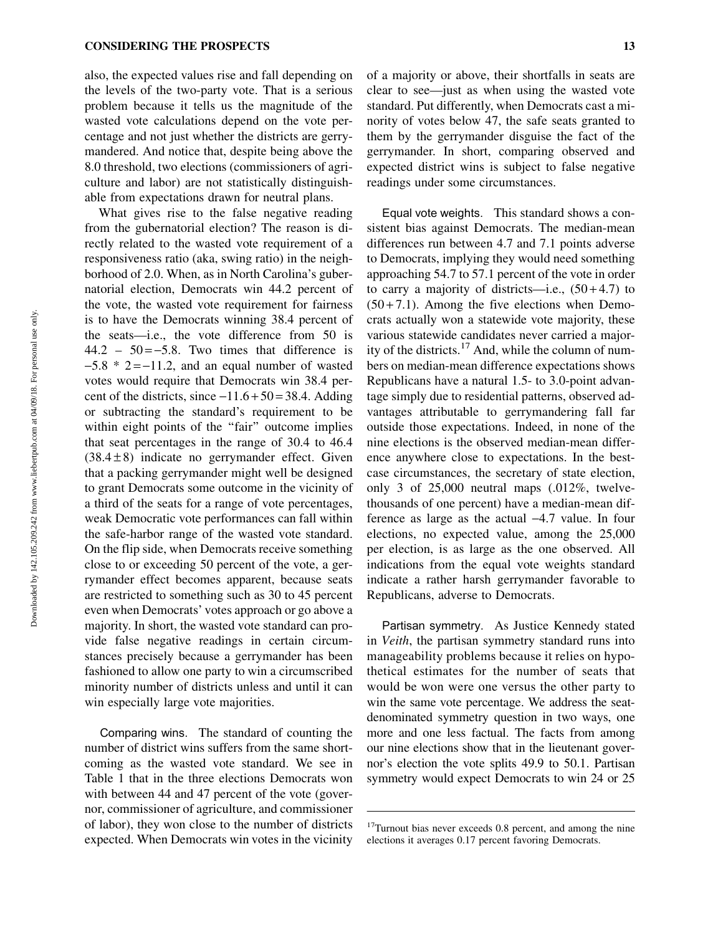also, the expected values rise and fall depending on the levels of the two-party vote. That is a serious problem because it tells us the magnitude of the wasted vote calculations depend on the vote percentage and not just whether the districts are gerrymandered. And notice that, despite being above the 8.0 threshold, two elections (commissioners of agriculture and labor) are not statistically distinguishable from expectations drawn for neutral plans.

What gives rise to the false negative reading from the gubernatorial election? The reason is directly related to the wasted vote requirement of a responsiveness ratio (aka, swing ratio) in the neighborhood of 2.0. When, as in North Carolina's gubernatorial election, Democrats win 44.2 percent of the vote, the wasted vote requirement for fairness is to have the Democrats winning 38.4 percent of the seats—i.e., the vote difference from 50 is  $44.2 - 50 = -5.8$ . Two times that difference is  $-5.8 * 2 = -11.2$ , and an equal number of wasted votes would require that Democrats win 38.4 percent of the districts, since  $-11.6 + 50 = 38.4$ . Adding or subtracting the standard's requirement to be within eight points of the "fair" outcome implies that seat percentages in the range of 30.4 to 46.4  $(38.4 \pm 8)$  indicate no gerrymander effect. Given that a packing gerrymander might well be designed to grant Democrats some outcome in the vicinity of a third of the seats for a range of vote percentages, weak Democratic vote performances can fall within the safe-harbor range of the wasted vote standard. On the flip side, when Democrats receive something close to or exceeding 50 percent of the vote, a gerrymander effect becomes apparent, because seats are restricted to something such as 30 to 45 percent even when Democrats' votes approach or go above a majority. In short, the wasted vote standard can provide false negative readings in certain circumstances precisely because a gerrymander has been fashioned to allow one party to win a circumscribed minority number of districts unless and until it can win especially large vote majorities.

Comparing wins. The standard of counting the number of district wins suffers from the same shortcoming as the wasted vote standard. We see in Table 1 that in the three elections Democrats won with between 44 and 47 percent of the vote (governor, commissioner of agriculture, and commissioner of labor), they won close to the number of districts expected. When Democrats win votes in the vicinity of a majority or above, their shortfalls in seats are clear to see—just as when using the wasted vote standard. Put differently, when Democrats cast a minority of votes below 47, the safe seats granted to them by the gerrymander disguise the fact of the gerrymander. In short, comparing observed and expected district wins is subject to false negative readings under some circumstances.

Equal vote weights. This standard shows a consistent bias against Democrats. The median-mean differences run between 4.7 and 7.1 points adverse to Democrats, implying they would need something approaching 54.7 to 57.1 percent of the vote in order to carry a majority of districts—i.e.,  $(50+4.7)$  to  $(50 + 7.1)$ . Among the five elections when Democrats actually won a statewide vote majority, these various statewide candidates never carried a majority of the districts.<sup>17</sup> And, while the column of numbers on median-mean difference expectations shows Republicans have a natural 1.5- to 3.0-point advantage simply due to residential patterns, observed advantages attributable to gerrymandering fall far outside those expectations. Indeed, in none of the nine elections is the observed median-mean difference anywhere close to expectations. In the bestcase circumstances, the secretary of state election, only 3 of 25,000 neutral maps (.012%, twelvethousands of one percent) have a median-mean difference as large as the actual  $-4.7$  value. In four elections, no expected value, among the 25,000 per election, is as large as the one observed. All indications from the equal vote weights standard indicate a rather harsh gerrymander favorable to Republicans, adverse to Democrats.

Partisan symmetry. As Justice Kennedy stated in Veith, the partisan symmetry standard runs into manageability problems because it relies on hypothetical estimates for the number of seats that would be won were one versus the other party to win the same vote percentage. We address the seatdenominated symmetry question in two ways, one more and one less factual. The facts from among our nine elections show that in the lieutenant governor's election the vote splits 49.9 to 50.1. Partisan symmetry would expect Democrats to win 24 or 25

 $17$ Turnout bias never exceeds 0.8 percent, and among the nine elections it averages 0.17 percent favoring Democrats.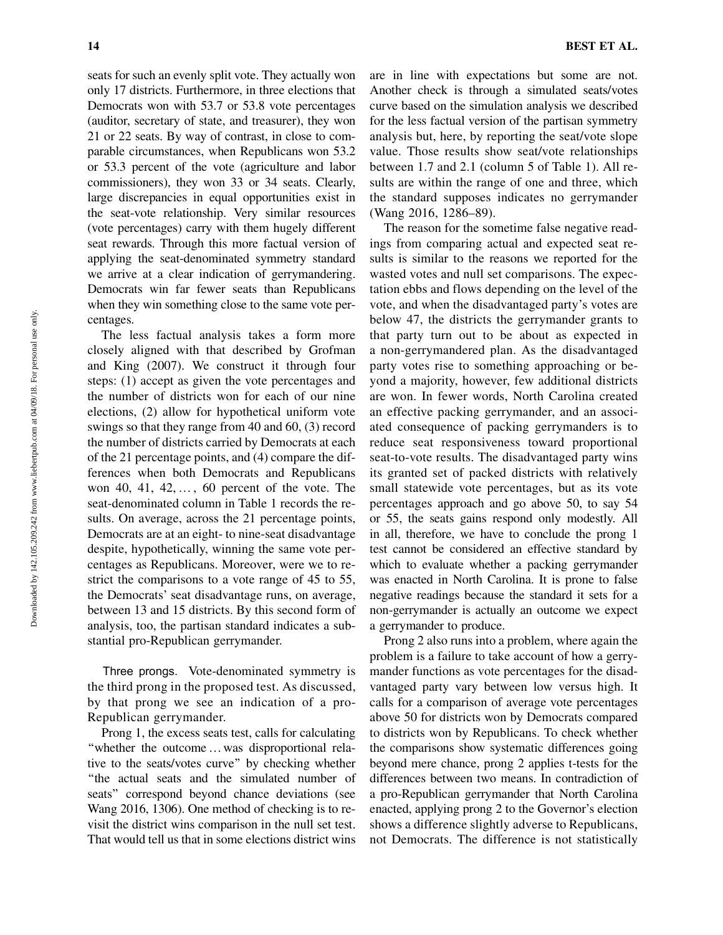seats for such an evenly split vote. They actually won only 17 districts. Furthermore, in three elections that Democrats won with 53.7 or 53.8 vote percentages (auditor, secretary of state, and treasurer), they won 21 or 22 seats. By way of contrast, in close to comparable circumstances, when Republicans won 53.2 or 53.3 percent of the vote (agriculture and labor commissioners), they won 33 or 34 seats. Clearly, large discrepancies in equal opportunities exist in the seat-vote relationship. Very similar resources (vote percentages) carry with them hugely different seat rewards. Through this more factual version of applying the seat-denominated symmetry standard we arrive at a clear indication of gerrymandering. Democrats win far fewer seats than Republicans when they win something close to the same vote percentages.

The less factual analysis takes a form more closely aligned with that described by Grofman and King (2007). We construct it through four steps: (1) accept as given the vote percentages and the number of districts won for each of our nine elections, (2) allow for hypothetical uniform vote swings so that they range from 40 and 60, (3) record the number of districts carried by Democrats at each of the 21 percentage points, and (4) compare the differences when both Democrats and Republicans won 40, 41, 42, ., 60 percent of the vote. The seat-denominated column in Table 1 records the results. On average, across the 21 percentage points, Democrats are at an eight- to nine-seat disadvantage despite, hypothetically, winning the same vote percentages as Republicans. Moreover, were we to restrict the comparisons to a vote range of 45 to 55, the Democrats' seat disadvantage runs, on average, between 13 and 15 districts. By this second form of analysis, too, the partisan standard indicates a substantial pro-Republican gerrymander.

Three prongs. Vote-denominated symmetry is the third prong in the proposed test. As discussed, by that prong we see an indication of a pro-Republican gerrymander.

Prong 1, the excess seats test, calls for calculating "whether the outcome...was disproportional relative to the seats/votes curve'' by checking whether ''the actual seats and the simulated number of seats'' correspond beyond chance deviations (see Wang 2016, 1306). One method of checking is to revisit the district wins comparison in the null set test. That would tell us that in some elections district wins are in line with expectations but some are not. Another check is through a simulated seats/votes curve based on the simulation analysis we described for the less factual version of the partisan symmetry analysis but, here, by reporting the seat/vote slope value. Those results show seat/vote relationships between 1.7 and 2.1 (column 5 of Table 1). All results are within the range of one and three, which the standard supposes indicates no gerrymander (Wang 2016, 1286–89).

The reason for the sometime false negative readings from comparing actual and expected seat results is similar to the reasons we reported for the wasted votes and null set comparisons. The expectation ebbs and flows depending on the level of the vote, and when the disadvantaged party's votes are below 47, the districts the gerrymander grants to that party turn out to be about as expected in a non-gerrymandered plan. As the disadvantaged party votes rise to something approaching or beyond a majority, however, few additional districts are won. In fewer words, North Carolina created an effective packing gerrymander, and an associated consequence of packing gerrymanders is to reduce seat responsiveness toward proportional seat-to-vote results. The disadvantaged party wins its granted set of packed districts with relatively small statewide vote percentages, but as its vote percentages approach and go above 50, to say 54 or 55, the seats gains respond only modestly. All in all, therefore, we have to conclude the prong 1 test cannot be considered an effective standard by which to evaluate whether a packing gerrymander was enacted in North Carolina. It is prone to false negative readings because the standard it sets for a non-gerrymander is actually an outcome we expect a gerrymander to produce.

Prong 2 also runs into a problem, where again the problem is a failure to take account of how a gerrymander functions as vote percentages for the disadvantaged party vary between low versus high. It calls for a comparison of average vote percentages above 50 for districts won by Democrats compared to districts won by Republicans. To check whether the comparisons show systematic differences going beyond mere chance, prong 2 applies t-tests for the differences between two means. In contradiction of a pro-Republican gerrymander that North Carolina enacted, applying prong 2 to the Governor's election shows a difference slightly adverse to Republicans, not Democrats. The difference is not statistically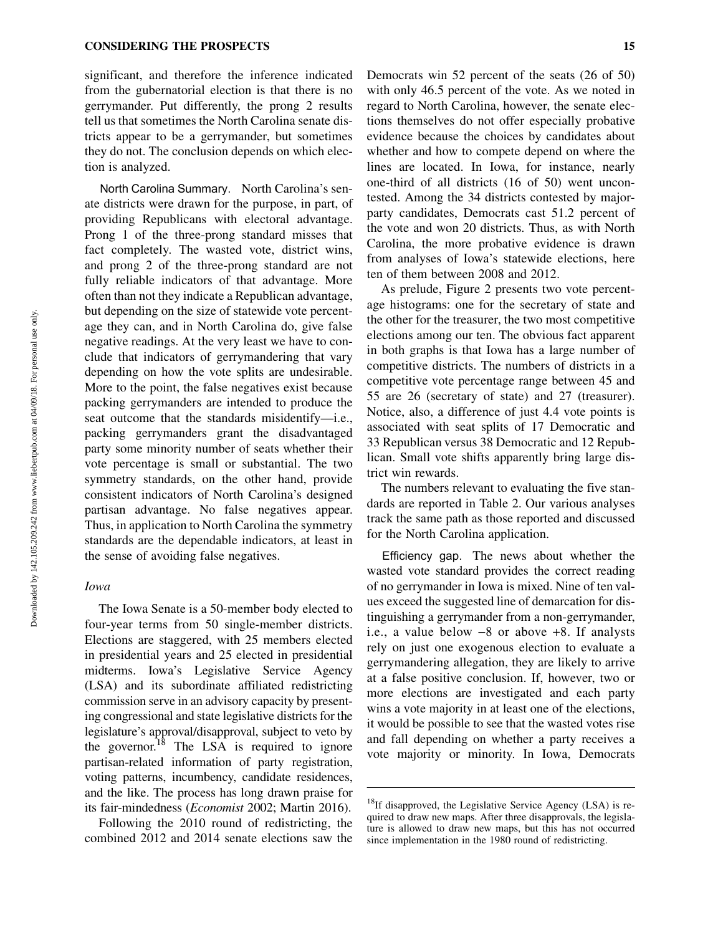significant, and therefore the inference indicated from the gubernatorial election is that there is no gerrymander. Put differently, the prong 2 results tell us that sometimes the North Carolina senate districts appear to be a gerrymander, but sometimes they do not. The conclusion depends on which election is analyzed.

North Carolina Summary. North Carolina's senate districts were drawn for the purpose, in part, of providing Republicans with electoral advantage. Prong 1 of the three-prong standard misses that fact completely. The wasted vote, district wins, and prong 2 of the three-prong standard are not fully reliable indicators of that advantage. More often than not they indicate a Republican advantage, but depending on the size of statewide vote percentage they can, and in North Carolina do, give false negative readings. At the very least we have to conclude that indicators of gerrymandering that vary depending on how the vote splits are undesirable. More to the point, the false negatives exist because packing gerrymanders are intended to produce the seat outcome that the standards misidentify—i.e., packing gerrymanders grant the disadvantaged party some minority number of seats whether their vote percentage is small or substantial. The two symmetry standards, on the other hand, provide consistent indicators of North Carolina's designed partisan advantage. No false negatives appear. Thus, in application to North Carolina the symmetry standards are the dependable indicators, at least in the sense of avoiding false negatives.

## Iowa

The Iowa Senate is a 50-member body elected to four-year terms from 50 single-member districts. Elections are staggered, with 25 members elected in presidential years and 25 elected in presidential midterms. Iowa's Legislative Service Agency (LSA) and its subordinate affiliated redistricting commission serve in an advisory capacity by presenting congressional and state legislative districts for the legislature's approval/disapproval, subject to veto by the governor.<sup>18</sup> The LSA is required to ignore partisan-related information of party registration, voting patterns, incumbency, candidate residences, and the like. The process has long drawn praise for its fair-mindedness (Economist 2002; Martin 2016).

Following the 2010 round of redistricting, the combined 2012 and 2014 senate elections saw the Democrats win 52 percent of the seats (26 of 50) with only 46.5 percent of the vote. As we noted in regard to North Carolina, however, the senate elections themselves do not offer especially probative evidence because the choices by candidates about whether and how to compete depend on where the lines are located. In Iowa, for instance, nearly one-third of all districts (16 of 50) went uncontested. Among the 34 districts contested by majorparty candidates, Democrats cast 51.2 percent of the vote and won 20 districts. Thus, as with North Carolina, the more probative evidence is drawn from analyses of Iowa's statewide elections, here ten of them between 2008 and 2012.

As prelude, Figure 2 presents two vote percentage histograms: one for the secretary of state and the other for the treasurer, the two most competitive elections among our ten. The obvious fact apparent in both graphs is that Iowa has a large number of competitive districts. The numbers of districts in a competitive vote percentage range between 45 and 55 are 26 (secretary of state) and 27 (treasurer). Notice, also, a difference of just 4.4 vote points is associated with seat splits of 17 Democratic and 33 Republican versus 38 Democratic and 12 Republican. Small vote shifts apparently bring large district win rewards.

The numbers relevant to evaluating the five standards are reported in Table 2. Our various analyses track the same path as those reported and discussed for the North Carolina application.

Efficiency gap. The news about whether the wasted vote standard provides the correct reading of no gerrymander in Iowa is mixed. Nine of ten values exceed the suggested line of demarcation for distinguishing a gerrymander from a non-gerrymander, i.e., a value below -8 or above +8. If analysts rely on just one exogenous election to evaluate a gerrymandering allegation, they are likely to arrive at a false positive conclusion. If, however, two or more elections are investigated and each party wins a vote majority in at least one of the elections, it would be possible to see that the wasted votes rise and fall depending on whether a party receives a vote majority or minority. In Iowa, Democrats

 $18$ If disapproved, the Legislative Service Agency (LSA) is required to draw new maps. After three disapprovals, the legislature is allowed to draw new maps, but this has not occurred since implementation in the 1980 round of redistricting.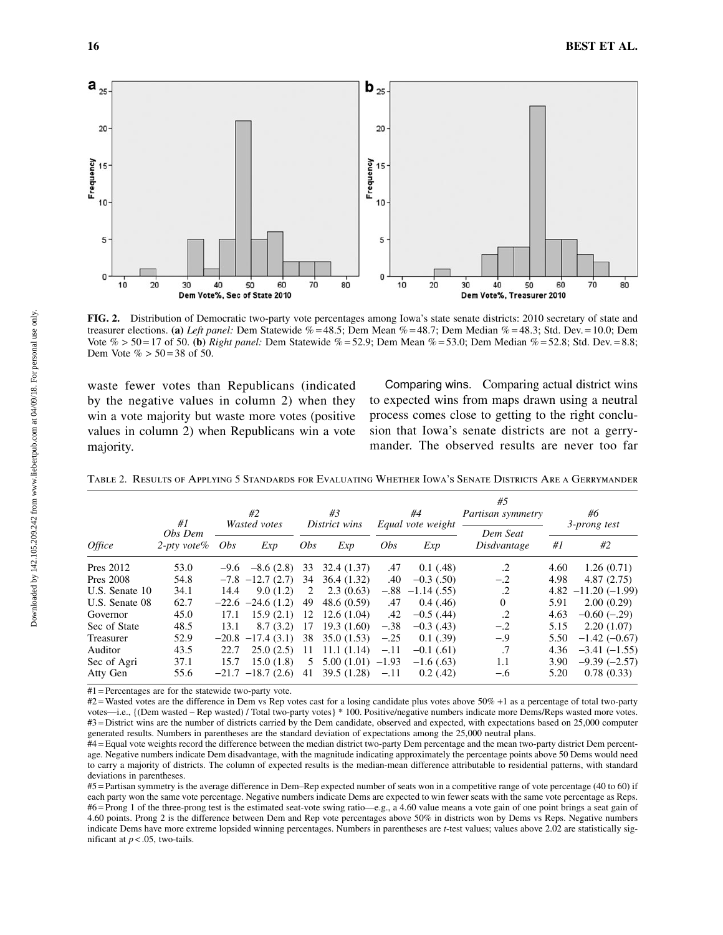

FIG. 2. Distribution of Democratic two-party vote percentages among Iowa's state senate districts: 2010 secretary of state and treasurer elections. (a) Left panel: Dem Statewide % = 48.5; Dem Mean % = 48.7; Dem Median % = 48.3; Std. Dev. = 10.0; Dem Vote  $\%$  > 50 = 17 of 50. (b) Right panel: Dem Statewide  $\%$  = 52.9; Dem Mean  $\%$  = 53.0; Dem Median  $\%$  = 52.8; Std. Dev. = 8.8; Dem Vote  $\%$  > 50 = 38 of 50.

waste fewer votes than Republicans (indicated by the negative values in column 2) when they win a vote majority but waste more votes (positive values in column 2) when Republicans win a vote majority.

Comparing wins. Comparing actual district wins to expected wins from maps drawn using a neutral process comes close to getting to the right conclusion that Iowa's senate districts are not a gerrymander. The observed results are never too far

|                  | #1<br>Obs Dem  | #2<br>Wasted votes |                       | #3<br>District wins |                    | #4<br>Equal vote weight |                      | #5<br>Partisan symmetry<br>Dem Seat | #6<br>3-prong test |                       |
|------------------|----------------|--------------------|-----------------------|---------------------|--------------------|-------------------------|----------------------|-------------------------------------|--------------------|-----------------------|
| Office           | 2-pty vote $%$ | Obs                | Exp                   | <i>Obs</i>          | Exp                | <i>Obs</i>              | Exp                  | Disdvantage                         | #1                 | #2                    |
| Pres 2012        | 53.0           | $-9.6$             | $-8.6(2.8)$           | 33                  | 32.4 (1.37)        | .47                     | 0.1(0.48)            | .2                                  | 4.60               | 1.26(0.71)            |
| <b>Pres 2008</b> | 54.8           |                    | $-7.8$ $-12.7$ (2.7)  | 34                  | 36.4 (1.32)        | .40                     | $-0.3$ (.50)         | $-.2$                               | 4.98               | 4.87(2.75)            |
| U.S. Senate 10   | 34.1           | 14.4               | 9.0(1.2)              | 2                   | 2.3(0.63)          |                         | $-.88$ $-1.14$ (.55) | $\cdot$ .2                          |                    | $4.82 -11.20 (-1.99)$ |
| U.S. Senate 08   | 62.7           |                    | $-22.6$ $-24.6$ (1.2) | 49                  | 48.6(0.59)         | .47                     | 0.4(0.46)            | $\Omega$                            | 5.91               | 2.00(0.29)            |
| Governor         | 45.0           | 17.1               | 15.9(2.1)             | 12                  | 12.6(1.04)         | .42                     | $-0.5$ (.44)         | $\cdot$ .2                          | 4.63               | $-0.60$ ( $-0.29$ )   |
| Sec of State     | 48.5           | 13.1               | 8.7(3.2)              | 17                  | 19.3(1.60)         | $-.38$                  | $-0.3$ (.43)         | $-.2$                               | 5.15               | 2.20(1.07)            |
| Treasurer        | 52.9           |                    | $-20.8$ $-17.4$ (3.1) | 38                  | 35.0(1.53)         | $-.25$                  | 0.1(0.39)            | $-.9$                               | 5.50               | $-1.42(-0.67)$        |
| Auditor          | 43.5           | 22.7               | 25.0(2.5)             | 11                  | 11.1(1.14)         | $-.11$                  | $-0.1$ (.61)         | .7                                  | 4.36               | $-3.41(-1.55)$        |
| Sec of Agri      | 37.1           | 15.7               | 15.0(1.8)             | 5.                  | $5.00(1.01) -1.93$ |                         | $-1.6$ (.63)         | 1.1                                 | 3.90               | $-9.39(-2.57)$        |
| Atty Gen         | 55.6           |                    | $-21.7$ $-18.7$ (2.6) | 41                  | 39.5(1.28)         | $-.11$                  | 0.2(42)              | $-.6$                               | 5.20               | 0.78(0.33)            |

Table 2. Results of Applying 5 Standards for Evaluating Whether Iowa's Senate Districts Are a Gerrymander

#1 = Percentages are for the statewide two-party vote.

#2 = Wasted votes are the difference in Dem vs Rep votes cast for a losing candidate plus votes above 50% +1 as a percentage of total two-party votes—i.e., {(Dem wasted – Rep wasted) / Total two-party votes} \* 100. Positive/negative numbers indicate more Dems/Reps wasted more votes. #3 = District wins are the number of districts carried by the Dem candidate, observed and expected, with expectations based on 25,000 computer generated results. Numbers in parentheses are the standard deviation of expectations among the 25,000 neutral plans.

#4 = Equal vote weights record the difference between the median district two-party Dem percentage and the mean two-party district Dem percentage. Negative numbers indicate Dem disadvantage, with the magnitude indicating approximately the percentage points above 50 Dems would need to carry a majority of districts. The column of expected results is the median-mean difference attributable to residential patterns, with standard deviations in parentheses.

#5 = Partisan symmetry is the average difference in Dem–Rep expected number of seats won in a competitive range of vote percentage (40 to 60) if each party won the same vote percentage. Negative numbers indicate Dems are expected to win fewer seats with the same vote percentage as Reps. #6 = Prong 1 of the three-prong test is the estimated seat-vote swing ratio—e.g., a 4.60 value means a vote gain of one point brings a seat gain of 4.60 points. Prong 2 is the difference between Dem and Rep vote percentages above 50% in districts won by Dems vs Reps. Negative numbers indicate Dems have more extreme lopsided winning percentages. Numbers in parentheses are t-test values; values above 2.02 are statistically significant at  $p < .05$ , two-tails.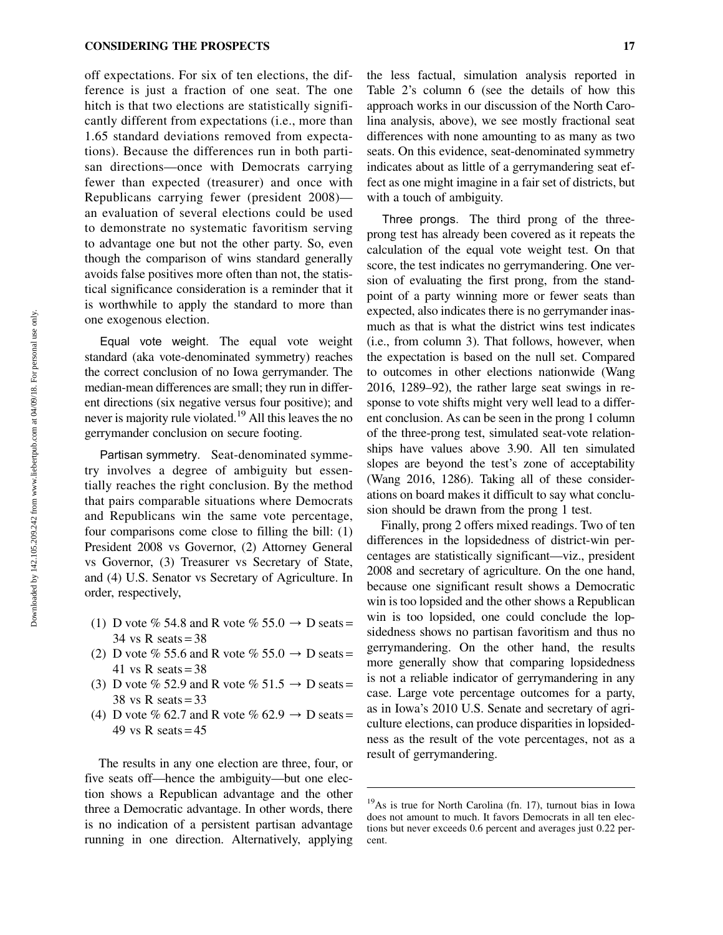#### CONSIDERING THE PROSPECTS 17

off expectations. For six of ten elections, the difference is just a fraction of one seat. The one hitch is that two elections are statistically significantly different from expectations (i.e., more than 1.65 standard deviations removed from expectations). Because the differences run in both partisan directions—once with Democrats carrying fewer than expected (treasurer) and once with Republicans carrying fewer (president 2008) an evaluation of several elections could be used to demonstrate no systematic favoritism serving to advantage one but not the other party. So, even though the comparison of wins standard generally avoids false positives more often than not, the statistical significance consideration is a reminder that it is worthwhile to apply the standard to more than one exogenous election.

Equal vote weight. The equal vote weight standard (aka vote-denominated symmetry) reaches the correct conclusion of no Iowa gerrymander. The median-mean differences are small; they run in different directions (six negative versus four positive); and never is majority rule violated.19 All this leaves the no gerrymander conclusion on secure footing.

Partisan symmetry. Seat-denominated symmetry involves a degree of ambiguity but essentially reaches the right conclusion. By the method that pairs comparable situations where Democrats and Republicans win the same vote percentage, four comparisons come close to filling the bill: (1) President 2008 vs Governor, (2) Attorney General vs Governor, (3) Treasurer vs Secretary of State, and (4) U.S. Senator vs Secretary of Agriculture. In order, respectively,

- (1) D vote % 54.8 and R vote % 55.0  $\rightarrow$  D seats =  $34 \text{ vs } R \text{ seats} = 38$
- (2) D vote % 55.6 and R vote % 55.0  $\rightarrow$  D seats = 41 vs R seats =  $38$
- (3) D vote % 52.9 and R vote % 51.5  $\rightarrow$  D seats =  $38 \text{ vs } R \text{ seats} = 33$
- (4) D vote % 62.7 and R vote % 62.9  $\rightarrow$  D seats = 49 vs R seats  $= 45$

The results in any one election are three, four, or five seats off—hence the ambiguity—but one election shows a Republican advantage and the other three a Democratic advantage. In other words, there is no indication of a persistent partisan advantage running in one direction. Alternatively, applying the less factual, simulation analysis reported in Table 2's column 6 (see the details of how this approach works in our discussion of the North Carolina analysis, above), we see mostly fractional seat differences with none amounting to as many as two seats. On this evidence, seat-denominated symmetry indicates about as little of a gerrymandering seat effect as one might imagine in a fair set of districts, but with a touch of ambiguity.

Three prongs. The third prong of the threeprong test has already been covered as it repeats the calculation of the equal vote weight test. On that score, the test indicates no gerrymandering. One version of evaluating the first prong, from the standpoint of a party winning more or fewer seats than expected, also indicates there is no gerrymander inasmuch as that is what the district wins test indicates (i.e., from column 3). That follows, however, when the expectation is based on the null set. Compared to outcomes in other elections nationwide (Wang 2016, 1289–92), the rather large seat swings in response to vote shifts might very well lead to a different conclusion. As can be seen in the prong 1 column of the three-prong test, simulated seat-vote relationships have values above 3.90. All ten simulated slopes are beyond the test's zone of acceptability (Wang 2016, 1286). Taking all of these considerations on board makes it difficult to say what conclusion should be drawn from the prong 1 test.

Finally, prong 2 offers mixed readings. Two of ten differences in the lopsidedness of district-win percentages are statistically significant—viz., president 2008 and secretary of agriculture. On the one hand, because one significant result shows a Democratic win is too lopsided and the other shows a Republican win is too lopsided, one could conclude the lopsidedness shows no partisan favoritism and thus no gerrymandering. On the other hand, the results more generally show that comparing lopsidedness is not a reliable indicator of gerrymandering in any case. Large vote percentage outcomes for a party, as in Iowa's 2010 U.S. Senate and secretary of agriculture elections, can produce disparities in lopsidedness as the result of the vote percentages, not as a result of gerrymandering.

<sup>19</sup>As is true for North Carolina (fn. 17), turnout bias in Iowa does not amount to much. It favors Democrats in all ten elections but never exceeds 0.6 percent and averages just 0.22 percent.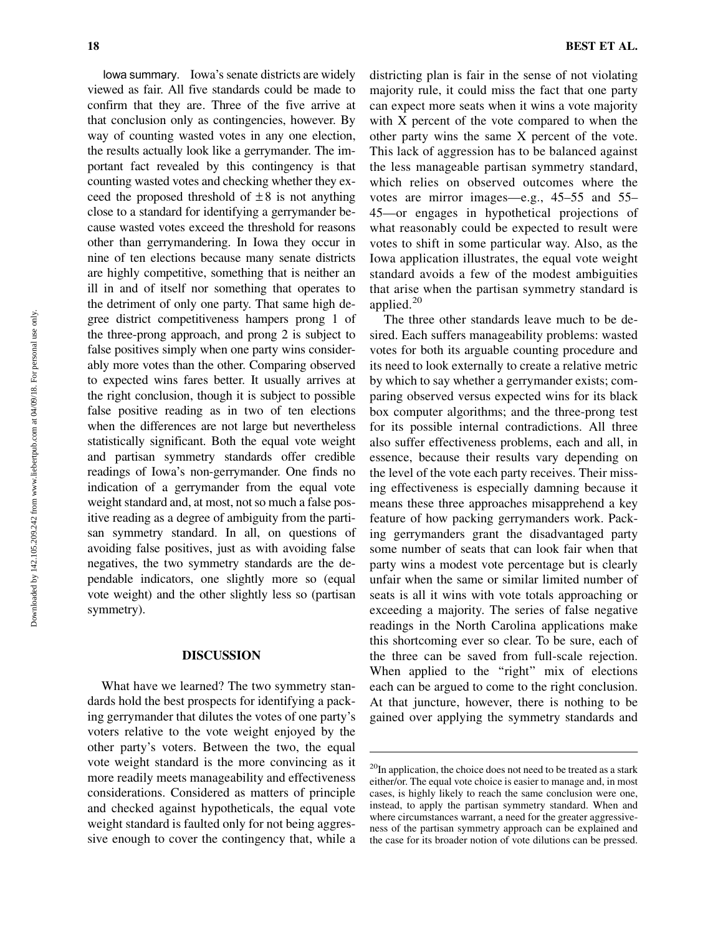Iowa summary. Iowa's senate districts are widely viewed as fair. All five standards could be made to confirm that they are. Three of the five arrive at that conclusion only as contingencies, however. By way of counting wasted votes in any one election, the results actually look like a gerrymander. The important fact revealed by this contingency is that counting wasted votes and checking whether they exceed the proposed threshold of  $\pm 8$  is not anything close to a standard for identifying a gerrymander because wasted votes exceed the threshold for reasons other than gerrymandering. In Iowa they occur in nine of ten elections because many senate districts are highly competitive, something that is neither an ill in and of itself nor something that operates to the detriment of only one party. That same high degree district competitiveness hampers prong 1 of the three-prong approach, and prong 2 is subject to false positives simply when one party wins considerably more votes than the other. Comparing observed to expected wins fares better. It usually arrives at the right conclusion, though it is subject to possible false positive reading as in two of ten elections when the differences are not large but nevertheless statistically significant. Both the equal vote weight and partisan symmetry standards offer credible readings of Iowa's non-gerrymander. One finds no indication of a gerrymander from the equal vote weight standard and, at most, not so much a false positive reading as a degree of ambiguity from the partisan symmetry standard. In all, on questions of avoiding false positives, just as with avoiding false negatives, the two symmetry standards are the dependable indicators, one slightly more so (equal vote weight) and the other slightly less so (partisan symmetry).

## DISCUSSION

What have we learned? The two symmetry standards hold the best prospects for identifying a packing gerrymander that dilutes the votes of one party's voters relative to the vote weight enjoyed by the other party's voters. Between the two, the equal vote weight standard is the more convincing as it more readily meets manageability and effectiveness considerations. Considered as matters of principle and checked against hypotheticals, the equal vote weight standard is faulted only for not being aggressive enough to cover the contingency that, while a districting plan is fair in the sense of not violating majority rule, it could miss the fact that one party can expect more seats when it wins a vote majority with X percent of the vote compared to when the other party wins the same X percent of the vote. This lack of aggression has to be balanced against the less manageable partisan symmetry standard, which relies on observed outcomes where the votes are mirror images—e.g., 45–55 and 55– 45—or engages in hypothetical projections of what reasonably could be expected to result were votes to shift in some particular way. Also, as the Iowa application illustrates, the equal vote weight standard avoids a few of the modest ambiguities that arise when the partisan symmetry standard is applied. $20$ 

The three other standards leave much to be desired. Each suffers manageability problems: wasted votes for both its arguable counting procedure and its need to look externally to create a relative metric by which to say whether a gerrymander exists; comparing observed versus expected wins for its black box computer algorithms; and the three-prong test for its possible internal contradictions. All three also suffer effectiveness problems, each and all, in essence, because their results vary depending on the level of the vote each party receives. Their missing effectiveness is especially damning because it means these three approaches misapprehend a key feature of how packing gerrymanders work. Packing gerrymanders grant the disadvantaged party some number of seats that can look fair when that party wins a modest vote percentage but is clearly unfair when the same or similar limited number of seats is all it wins with vote totals approaching or exceeding a majority. The series of false negative readings in the North Carolina applications make this shortcoming ever so clear. To be sure, each of the three can be saved from full-scale rejection. When applied to the "right" mix of elections each can be argued to come to the right conclusion. At that juncture, however, there is nothing to be gained over applying the symmetry standards and

 $^{20}$ In application, the choice does not need to be treated as a stark either/or. The equal vote choice is easier to manage and, in most cases, is highly likely to reach the same conclusion were one, instead, to apply the partisan symmetry standard. When and where circumstances warrant, a need for the greater aggressiveness of the partisan symmetry approach can be explained and the case for its broader notion of vote dilutions can be pressed.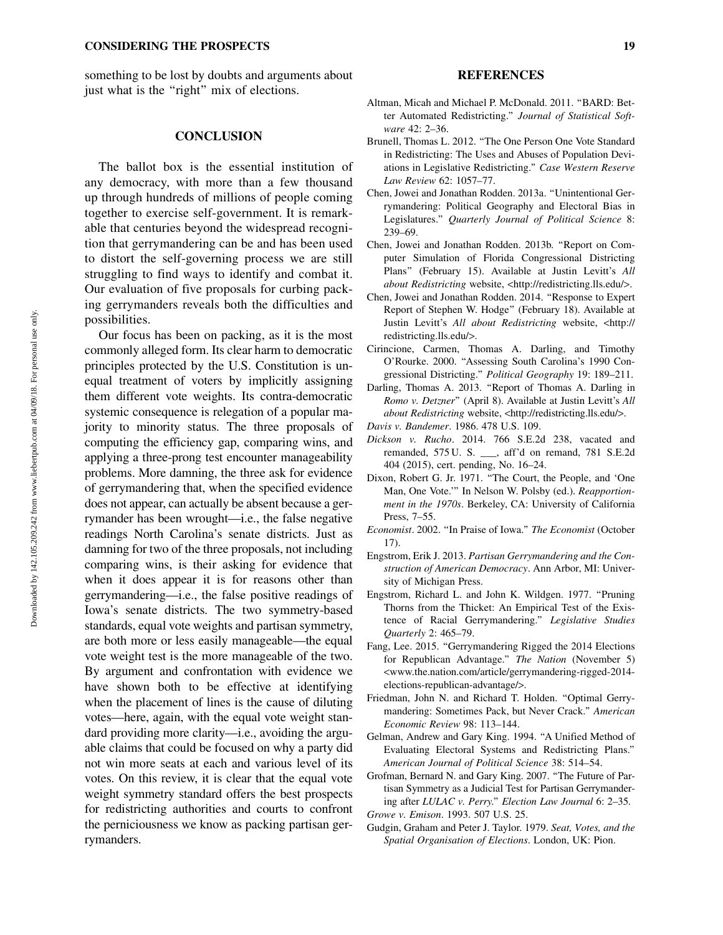something to be lost by doubts and arguments about just what is the "right" mix of elections.

## **CONCLUSION**

The ballot box is the essential institution of any democracy, with more than a few thousand up through hundreds of millions of people coming together to exercise self-government. It is remarkable that centuries beyond the widespread recognition that gerrymandering can be and has been used to distort the self-governing process we are still struggling to find ways to identify and combat it. Our evaluation of five proposals for curbing packing gerrymanders reveals both the difficulties and possibilities.

Our focus has been on packing, as it is the most commonly alleged form. Its clear harm to democratic principles protected by the U.S. Constitution is unequal treatment of voters by implicitly assigning them different vote weights. Its contra-democratic systemic consequence is relegation of a popular majority to minority status. The three proposals of computing the efficiency gap, comparing wins, and applying a three-prong test encounter manageability problems. More damning, the three ask for evidence of gerrymandering that, when the specified evidence does not appear, can actually be absent because a gerrymander has been wrought—i.e., the false negative readings North Carolina's senate districts. Just as damning for two of the three proposals, not including comparing wins, is their asking for evidence that when it does appear it is for reasons other than gerrymandering—i.e., the false positive readings of Iowa's senate districts. The two symmetry-based standards, equal vote weights and partisan symmetry, are both more or less easily manageable—the equal vote weight test is the more manageable of the two. By argument and confrontation with evidence we have shown both to be effective at identifying when the placement of lines is the cause of diluting votes—here, again, with the equal vote weight standard providing more clarity—i.e., avoiding the arguable claims that could be focused on why a party did not win more seats at each and various level of its votes. On this review, it is clear that the equal vote weight symmetry standard offers the best prospects for redistricting authorities and courts to confront the perniciousness we know as packing partisan gerrymanders.

#### REFERENCES

- Altman, Micah and Michael P. McDonald. 2011. ''BARD: Better Automated Redistricting.'' Journal of Statistical Software 42: 2–36.
- Brunell, Thomas L. 2012. ''The One Person One Vote Standard in Redistricting: The Uses and Abuses of Population Deviations in Legislative Redistricting.'' Case Western Reserve Law Review 62: 1057–77.
- Chen, Jowei and Jonathan Rodden. 2013a. ''Unintentional Gerrymandering: Political Geography and Electoral Bias in Legislatures.'' Quarterly Journal of Political Science 8: 239–69.
- Chen, Jowei and Jonathan Rodden. 2013b. ''Report on Computer Simulation of Florida Congressional Districting Plans'' (February 15). Available at Justin Levitt's All about Redistricting website, <http://redistricting.lls.edu/>.
- Chen, Jowei and Jonathan Rodden. 2014. ''Response to Expert Report of Stephen W. Hodge'' (February 18). Available at Justin Levitt's All about Redistricting website, <http:// redistricting.lls.edu/>.
- Cirincione, Carmen, Thomas A. Darling, and Timothy O'Rourke. 2000. ''Assessing South Carolina's 1990 Congressional Districting.'' Political Geography 19: 189–211.
- Darling, Thomas A. 2013. "Report of Thomas A. Darling in Romo v. Detzner'' (April 8). Available at Justin Levitt's All about Redistricting website, <http://redistricting.lls.edu/>.
- Davis v. Bandemer. 1986. 478 U.S. 109.
- Dickson v. Rucho. 2014. 766 S.E.2d 238, vacated and remanded, 575 U. S. \_\_\_, aff'd on remand, 781 S.E.2d 404 (2015), cert. pending, No. 16–24.
- Dixon, Robert G. Jr. 1971. "The Court, the People, and 'One Man, One Vote.''' In Nelson W. Polsby (ed.). Reapportionment in the 1970s. Berkeley, CA: University of California Press, 7–55.
- Economist. 2002. ''In Praise of Iowa.'' The Economist (October 17).
- Engstrom, Erik J. 2013. Partisan Gerrymandering and the Construction of American Democracy. Ann Arbor, MI: University of Michigan Press.
- Engstrom, Richard L. and John K. Wildgen. 1977. ''Pruning Thorns from the Thicket: An Empirical Test of the Existence of Racial Gerrymandering.'' Legislative Studies Quarterly 2: 465–79.
- Fang, Lee. 2015. "Gerrymandering Rigged the 2014 Elections for Republican Advantage.'' The Nation (November 5) <www.the.nation.com/article/gerrymandering-rigged-2014 elections-republican-advantage/>.
- Friedman, John N. and Richard T. Holden. ''Optimal Gerrymandering: Sometimes Pack, but Never Crack.'' American Economic Review 98: 113–144.
- Gelman, Andrew and Gary King. 1994. ''A Unified Method of Evaluating Electoral Systems and Redistricting Plans.'' American Journal of Political Science 38: 514–54.
- Grofman, Bernard N. and Gary King. 2007. ''The Future of Partisan Symmetry as a Judicial Test for Partisan Gerrymandering after LULAC v. Perry.'' Election Law Journal 6: 2–35. Growe v. Emison. 1993. 507 U.S. 25.
- Gudgin, Graham and Peter J. Taylor. 1979. Seat, Votes, and the Spatial Organisation of Elections. London, UK: Pion.